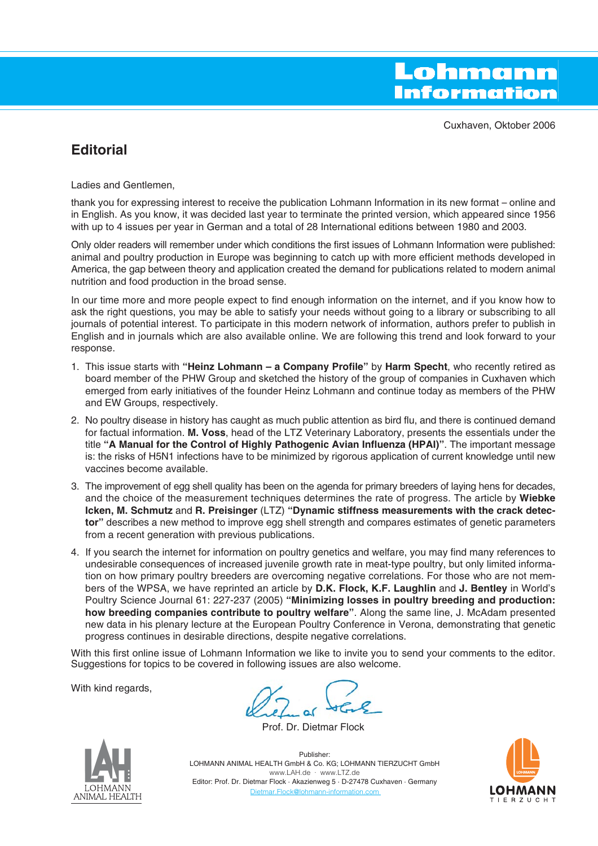Cuxhaven, Oktober 2006

# **Editorial**

Ladies and Gentlemen,

thank you for expressing interest to receive the publication Lohmann Information in its new format – online and in English. As you know, it was decided last year to terminate the printed version, which appeared since 1956 with up to 4 issues per year in German and a total of 28 International editions between 1980 and 2003.

Only older readers will remember under which conditions the first issues of Lohmann Information were published: animal and poultry production in Europe was beginning to catch up with more efficient methods developed in America, the gap between theory and application created the demand for publications related to modern animal nutrition and food production in the broad sense.

In our time more and more people expect to find enough information on the internet, and if you know how to ask the right questions, you may be able to satisfy your needs without going to a library or subscribing to all journals of potential interest. To participate in this modern network of information, authors prefer to publish in English and in journals which are also available online. We are following this trend and look forward to your response.

- 1. This issue starts with **"Heinz Lohmann a Company Profile"** by **Harm Specht**, who recently retired as board member of the PHW Group and sketched the history of the group of companies in Cuxhaven which emerged from early initiatives of the founder Heinz Lohmann and continue today as members of the PHW and EW Groups, respectively.
- 2. No poultry disease in history has caught as much public attention as bird flu, and there is continued demand for factual information. **M. Voss**, head of the LTZ Veterinary Laboratory, presents the essentials under the title **"A Manual for the Control of Highly Pathogenic Avian Influenza (HPAI)"**. The important message is: the risks of H5N1 infections have to be minimized by rigorous application of current knowledge until new vaccines become available.
- 3. The improvement of egg shell quality has been on the agenda for primary breeders of laying hens for decades, and the choice of the measurement techniques determines the rate of progress. The article by **Wiebke Icken, M. Schmutz** and **R. Preisinger** (LTZ) **"Dynamic stiffness measurements with the crack detector"** describes a new method to improve egg shell strength and compares estimates of genetic parameters from a recent generation with previous publications.
- 4. If you search the internet for information on poultry genetics and welfare, you may find many references to undesirable consequences of increased juvenile growth rate in meat-type poultry, but only limited information on how primary poultry breeders are overcoming negative correlations. For those who are not members of the WPSA, we have reprinted an article by **D.K. Flock, K.F. Laughlin** and **J. Bentley** in World's Poultry Science Journal 61: 227-237 (2005) **"Minimizing losses in poultry breeding and production: how breeding companies contribute to poultry welfare"**. Along the same line, J. McAdam presented new data in his plenary lecture at the European Poultry Conference in Verona, demonstrating that genetic progress continues in desirable directions, despite negative correlations.

With this first online issue of Lohmann Information we like to invite you to send your comments to the editor. Suggestions for topics to be covered in following issues are also welcome.

With kind regards.

Prof. Dr. Dietmar Flock



Publisher: LOHMANN ANIMAL HEALTH GmbH & Co. KG; LOHMANN TIERZUCHT GmbH www.LAH.de · www.LTZ.de Editor: Prof. Dr. Dietmar Flock · Akazienweg 5 · D-27478 Cuxhaven · Germany Dietmar.Flock@lohmann-information.com

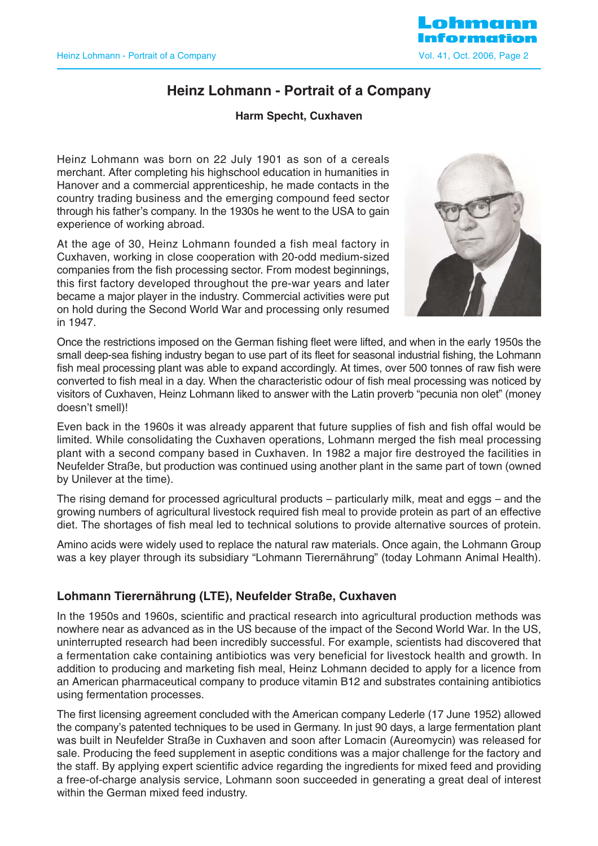# ohman

# **Heinz Lohmann - Portrait of a Company**

#### **Harm Specht, Cuxhaven**

Heinz Lohmann was born on 22 July 1901 as son of a cereals merchant. After completing his highschool education in humanities in Hanover and a commercial apprenticeship, he made contacts in the country trading business and the emerging compound feed sector through his father's company. In the 1930s he went to the USA to gain experience of working abroad.

At the age of 30, Heinz Lohmann founded a fish meal factory in Cuxhaven, working in close cooperation with 20-odd medium-sized companies from the fish processing sector. From modest beginnings, this first factory developed throughout the pre-war years and later became a major player in the industry. Commercial activities were put on hold during the Second World War and processing only resumed in 1947.



Once the restrictions imposed on the German fishing fleet were lifted, and when in the early 1950s the small deep-sea fishing industry began to use part of its fleet for seasonal industrial fishing, the Lohmann fish meal processing plant was able to expand accordingly. At times, over 500 tonnes of raw fish were converted to fish meal in a day. When the characteristic odour of fish meal processing was noticed by visitors of Cuxhaven, Heinz Lohmann liked to answer with the Latin proverb "pecunia non olet" (money doesn't smell)!

Even back in the 1960s it was already apparent that future supplies of fish and fish offal would be limited. While consolidating the Cuxhaven operations, Lohmann merged the fish meal processing plant with a second company based in Cuxhaven. In 1982 a major fire destroyed the facilities in Neufelder Straße, but production was continued using another plant in the same part of town (owned by Unilever at the time).

The rising demand for processed agricultural products – particularly milk, meat and eggs – and the growing numbers of agricultural livestock required fish meal to provide protein as part of an effective diet. The shortages of fish meal led to technical solutions to provide alternative sources of protein.

Amino acids were widely used to replace the natural raw materials. Once again, the Lohmann Group was a key player through its subsidiary "Lohmann Tierernährung" (today Lohmann Animal Health).

# **Lohmann Tierernährung (LTE), Neufelder Straße, Cuxhaven**

In the 1950s and 1960s, scientific and practical research into agricultural production methods was nowhere near as advanced as in the US because of the impact of the Second World War. In the US, uninterrupted research had been incredibly successful. For example, scientists had discovered that a fermentation cake containing antibiotics was very beneficial for livestock health and growth. In addition to producing and marketing fish meal, Heinz Lohmann decided to apply for a licence from an American pharmaceutical company to produce vitamin B12 and substrates containing antibiotics using fermentation processes.

The first licensing agreement concluded with the American company Lederle (17 June 1952) allowed the company's patented techniques to be used in Germany. In just 90 days, a large fermentation plant was built in Neufelder Straße in Cuxhaven and soon after Lomacin (Aureomycin) was released for sale. Producing the feed supplement in aseptic conditions was a major challenge for the factory and the staff. By applying expert scientific advice regarding the ingredients for mixed feed and providing a free-of-charge analysis service, Lohmann soon succeeded in generating a great deal of interest within the German mixed feed industry.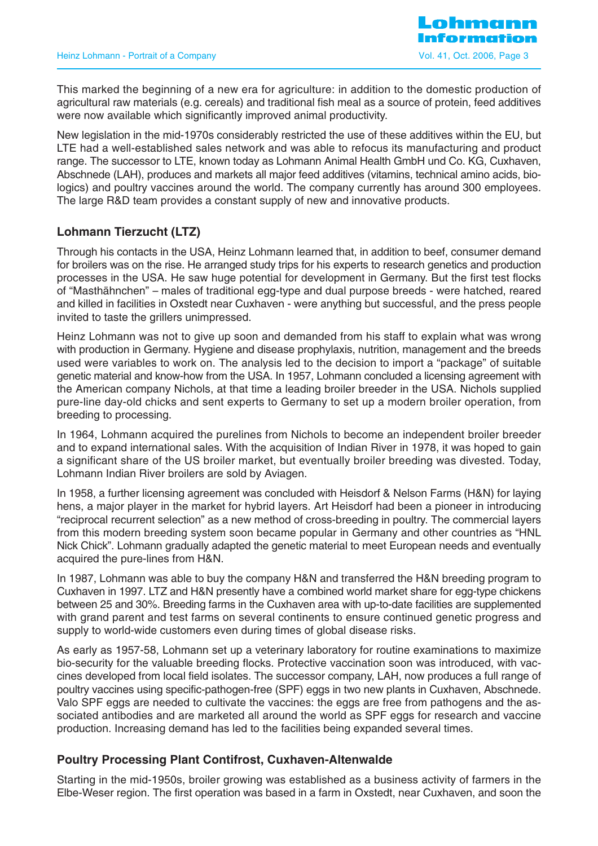This marked the beginning of a new era for agriculture: in addition to the domestic production of agricultural raw materials (e.g. cereals) and traditional fish meal as a source of protein, feed additives were now available which significantly improved animal productivity.

New legislation in the mid-1970s considerably restricted the use of these additives within the EU, but LTE had a well-established sales network and was able to refocus its manufacturing and product range. The successor to LTE, known today as Lohmann Animal Health GmbH und Co. KG, Cuxhaven, Abschnede (LAH), produces and markets all major feed additives (vitamins, technical amino acids, biologics) and poultry vaccines around the world. The company currently has around 300 employees. The large R&D team provides a constant supply of new and innovative products.

# **Lohmann Tierzucht (LTZ)**

Through his contacts in the USA, Heinz Lohmann learned that, in addition to beef, consumer demand for broilers was on the rise. He arranged study trips for his experts to research genetics and production processes in the USA. He saw huge potential for development in Germany. But the first test flocks of "Masthähnchen" – males of traditional egg-type and dual purpose breeds - were hatched, reared and killed in facilities in Oxstedt near Cuxhaven - were anything but successful, and the press people invited to taste the grillers unimpressed.

Heinz Lohmann was not to give up soon and demanded from his staff to explain what was wrong with production in Germany. Hygiene and disease prophylaxis, nutrition, management and the breeds used were variables to work on. The analysis led to the decision to import a "package" of suitable genetic material and know-how from the USA. In 1957, Lohmann concluded a licensing agreement with the American company Nichols, at that time a leading broiler breeder in the USA. Nichols supplied pure-line day-old chicks and sent experts to Germany to set up a modern broiler operation, from breeding to processing.

In 1964, Lohmann acquired the purelines from Nichols to become an independent broiler breeder and to expand international sales. With the acquisition of Indian River in 1978, it was hoped to gain a significant share of the US broiler market, but eventually broiler breeding was divested. Today, Lohmann Indian River broilers are sold by Aviagen.

In 1958, a further licensing agreement was concluded with Heisdorf & Nelson Farms (H&N) for laying hens, a major player in the market for hybrid layers. Art Heisdorf had been a pioneer in introducing "reciprocal recurrent selection" as a new method of cross-breeding in poultry. The commercial layers from this modern breeding system soon became popular in Germany and other countries as "HNL Nick Chick". Lohmann gradually adapted the genetic material to meet European needs and eventually acquired the pure-lines from H&N.

In 1987, Lohmann was able to buy the company H&N and transferred the H&N breeding program to Cuxhaven in 1997. LTZ and H&N presently have a combined world market share for egg-type chickens between 25 and 30%. Breeding farms in the Cuxhaven area with up-to-date facilities are supplemented with grand parent and test farms on several continents to ensure continued genetic progress and supply to world-wide customers even during times of global disease risks.

As early as 1957-58, Lohmann set up a veterinary laboratory for routine examinations to maximize bio-security for the valuable breeding flocks. Protective vaccination soon was introduced, with vaccines developed from local field isolates. The successor company, LAH, now produces a full range of poultry vaccines using specific-pathogen-free (SPF) eggs in two new plants in Cuxhaven, Abschnede. Valo SPF eggs are needed to cultivate the vaccines: the eggs are free from pathogens and the associated antibodies and are marketed all around the world as SPF eggs for research and vaccine production. Increasing demand has led to the facilities being expanded several times.

# **Poultry Processing Plant Contifrost, Cuxhaven-Altenwalde**

Starting in the mid-1950s, broiler growing was established as a business activity of farmers in the Elbe-Weser region. The first operation was based in a farm in Oxstedt, near Cuxhaven, and soon the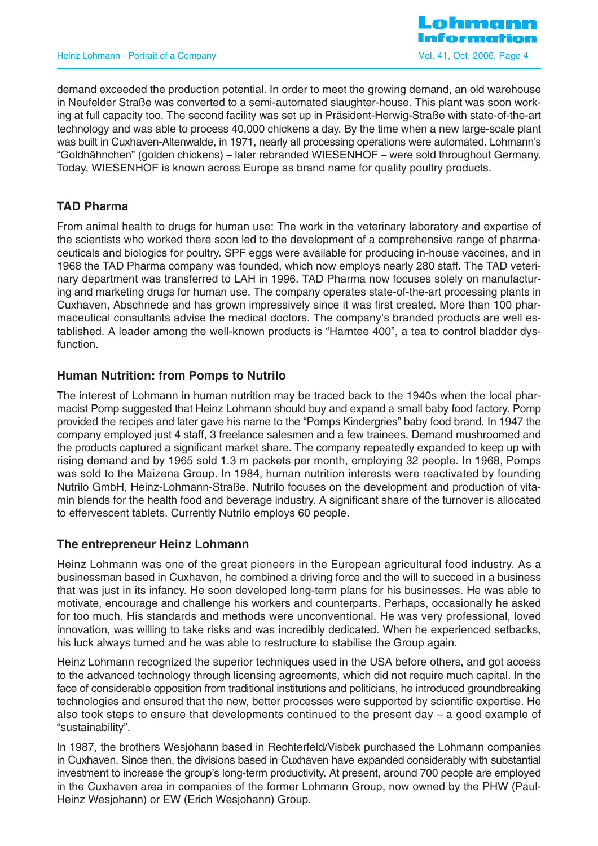

demand exceeded the production potential. In order to meet the growing demand, an old warehouse in Neufelder Straße was converted to a semi-automated slaughter-house. This plant was soon working at full capacity too. The second facility was set up in Präsident-Herwig-Straße with state-of-the-art technology and was able to process 40,000 chickens a day. By the time when a new large-scale plant was built in Cuxhaven-Altenwalde, in 1971, nearly all processing operations were automated. Lohmann's "Goldhähnchen" (golden chickens) – later rebranded WIESENHOF – were sold throughout Germany. Today, WIESENHOF is known across Europe as brand name for quality poultry products.

# **TAD Pharma**

From animal health to drugs for human use: The work in the veterinary laboratory and expertise of the scientists who worked there soon led to the development of a comprehensive range of pharmaceuticals and biologics for poultry. SPF eggs were available for producing in-house vaccines, and in 1968 the TAD Pharma company was founded, which now employs nearly 280 staff. The TAD veterinary department was transferred to LAH in 1996. TAD Pharma now focuses solely on manufacturing and marketing drugs for human use. The company operates state-of-the-art processing plants in Cuxhaven, Abschnede and has grown impressively since it was first created. More than 100 pharmaceutical consultants advise the medical doctors. The company's branded products are well established. A leader among the well-known products is "Harntee 400", a tea to control bladder dysfunction.

# **Human Nutrition: from Pomps to Nutrilo**

The interest of Lohmann in human nutrition may be traced back to the 1940s when the local pharmacist Pomp suggested that Heinz Lohmann should buy and expand a small baby food factory. Pomp provided the recipes and later gave his name to the "Pomps Kindergries" baby food brand. In 1947 the company employed just 4 staff, 3 freelance salesmen and a few trainees. Demand mushroomed and the products captured a significant market share. The company repeatedly expanded to keep up with rising demand and by 1965 sold 1.3 m packets per month, employing 32 people. In 1968, Pomps was sold to the Maizena Group. In 1984, human nutrition interests were reactivated by founding Nutrilo GmbH, Heinz-Lohmann-Straße. Nutrilo focuses on the development and production of vitamin blends for the health food and beverage industry. A significant share of the turnover is allocated to effervescent tablets. Currently Nutrilo employs 60 people.

# **The entrepreneur Heinz Lohmann**

Heinz Lohmann was one of the great pioneers in the European agricultural food industry. As a businessman based in Cuxhaven, he combined a driving force and the will to succeed in a business that was just in its infancy. He soon developed long-term plans for his businesses. He was able to motivate, encourage and challenge his workers and counterparts. Perhaps, occasionally he asked for too much. His standards and methods were unconventional. He was very professional, loved innovation, was willing to take risks and was incredibly dedicated. When he experienced setbacks, his luck always turned and he was able to restructure to stabilise the Group again.

Heinz Lohmann recognized the superior techniques used in the USA before others, and got access to the advanced technology through licensing agreements, which did not require much capital. In the face of considerable opposition from traditional institutions and politicians, he introduced groundbreaking technologies and ensured that the new, better processes were supported by scientific expertise. He also took steps to ensure that developments continued to the present day – a good example of "sustainability".

In 1987, the brothers Wesjohann based in Rechterfeld/Visbek purchased the Lohmann companies in Cuxhaven. Since then, the divisions based in Cuxhaven have expanded considerably with substantial investment to increase the group's long-term productivity. At present, around 700 people are employed in the Cuxhaven area in companies of the former Lohmann Group, now owned by the PHW (Paul-Heinz Wesjohann) or EW (Erich Wesjohann) Group.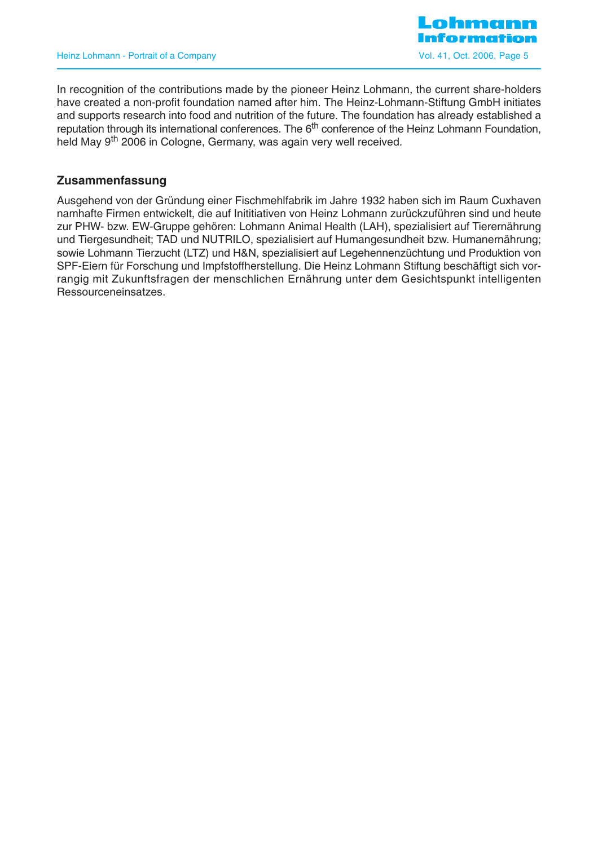

In recognition of the contributions made by the pioneer Heinz Lohmann, the current share-holders have created a non-profit foundation named after him. The Heinz-Lohmann-Stiftung GmbH initiates and supports research into food and nutrition of the future. The foundation has already established a reputation through its international conferences. The 6<sup>th</sup> conference of the Heinz Lohmann Foundation, held May 9<sup>th</sup> 2006 in Cologne, Germany, was again very well received.

#### **Zusammenfassung**

Ausgehend von der Gründung einer Fischmehlfabrik im Jahre 1932 haben sich im Raum Cuxhaven namhafte Firmen entwickelt, die auf Inititiativen von Heinz Lohmann zurückzuführen sind und heute zur PHW- bzw. EW-Gruppe gehören: Lohmann Animal Health (LAH), spezialisiert auf Tierernährung und Tiergesundheit; TAD und NUTRILO, spezialisiert auf Humangesundheit bzw. Humanernährung; sowie Lohmann Tierzucht (LTZ) und H&N, spezialisiert auf Legehennenzüchtung und Produktion von SPF-Eiern für Forschung und Impfstoffherstellung. Die Heinz Lohmann Stiftung beschäftigt sich vorrangig mit Zukunftsfragen der menschlichen Ernährung unter dem Gesichtspunkt intelligenten Ressourceneinsatzes.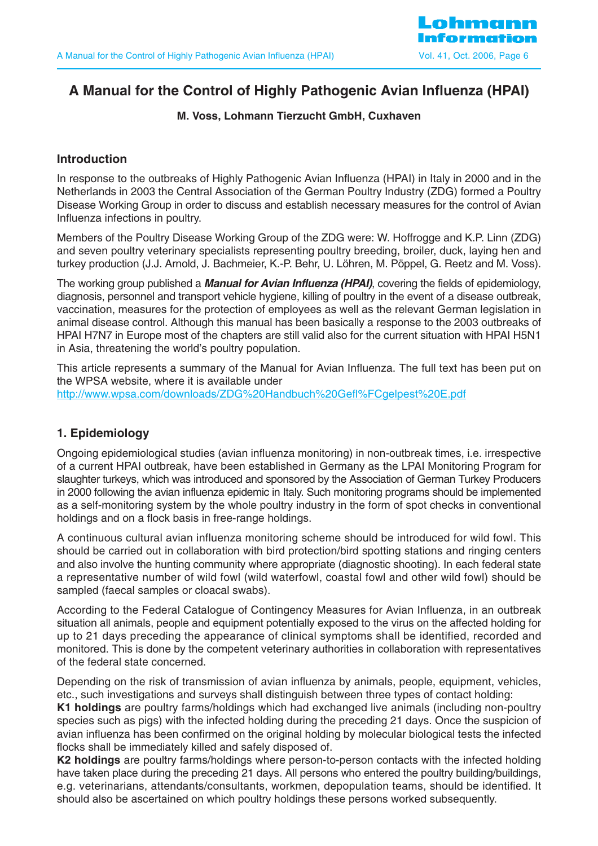

# **A Manual for the Control of Highly Pathogenic Avian Influenza (HPAI)**

#### **M. Voss, Lohmann Tierzucht GmbH, Cuxhaven**

#### **Introduction**

In response to the outbreaks of Highly Pathogenic Avian Influenza (HPAI) in Italy in 2000 and in the Netherlands in 2003 the Central Association of the German Poultry Industry (ZDG) formed a Poultry Disease Working Group in order to discuss and establish necessary measures for the control of Avian Influenza infections in poultry.

Members of the Poultry Disease Working Group of the ZDG were: W. Hoffrogge and K.P. Linn (ZDG) and seven poultry veterinary specialists representing poultry breeding, broiler, duck, laying hen and turkey production (J.J. Arnold, J. Bachmeier, K.-P. Behr, U. Löhren, M. Pöppel, G. Reetz and M. Voss).

The working group published a **Manual for Avian Influenza (HPAI)**, covering the fields of epidemiology, diagnosis, personnel and transport vehicle hygiene, killing of poultry in the event of a disease outbreak, vaccination, measures for the protection of employees as well as the relevant German legislation in animal disease control. Although this manual has been basically a response to the 2003 outbreaks of HPAI H7N7 in Europe most of the chapters are still valid also for the current situation with HPAI H5N1 in Asia, threatening the world's poultry population.

This article represents a summary of the Manual for Avian Influenza. The full text has been put on the WPSA website, where it is available under

http://www.wpsa.com/downloads/ZDG%20Handbuch%20Gefl%FCgelpest%20E.pdf

# **1. Epidemiology**

Ongoing epidemiological studies (avian influenza monitoring) in non-outbreak times, i.e. irrespective of a current HPAI outbreak, have been established in Germany as the LPAI Monitoring Program for slaughter turkeys, which was introduced and sponsored by the Association of German Turkey Producers in 2000 following the avian influenza epidemic in Italy. Such monitoring programs should be implemented as a self-monitoring system by the whole poultry industry in the form of spot checks in conventional holdings and on a flock basis in free-range holdings.

A continuous cultural avian influenza monitoring scheme should be introduced for wild fowl. This should be carried out in collaboration with bird protection/bird spotting stations and ringing centers and also involve the hunting community where appropriate (diagnostic shooting). In each federal state a representative number of wild fowl (wild waterfowl, coastal fowl and other wild fowl) should be sampled (faecal samples or cloacal swabs).

According to the Federal Catalogue of Contingency Measures for Avian Influenza, in an outbreak situation all animals, people and equipment potentially exposed to the virus on the affected holding for up to 21 days preceding the appearance of clinical symptoms shall be identified, recorded and monitored. This is done by the competent veterinary authorities in collaboration with representatives of the federal state concerned.

Depending on the risk of transmission of avian influenza by animals, people, equipment, vehicles, etc., such investigations and surveys shall distinguish between three types of contact holding:

**K1 holdings** are poultry farms/holdings which had exchanged live animals (including non-poultry species such as pigs) with the infected holding during the preceding 21 days. Once the suspicion of avian influenza has been confirmed on the original holding by molecular biological tests the infected flocks shall be immediately killed and safely disposed of.

**K2 holdings** are poultry farms/holdings where person-to-person contacts with the infected holding have taken place during the preceding 21 days. All persons who entered the poultry building/buildings, e.g. veterinarians, attendants/consultants, workmen, depopulation teams, should be identified. It should also be ascertained on which poultry holdings these persons worked subsequently.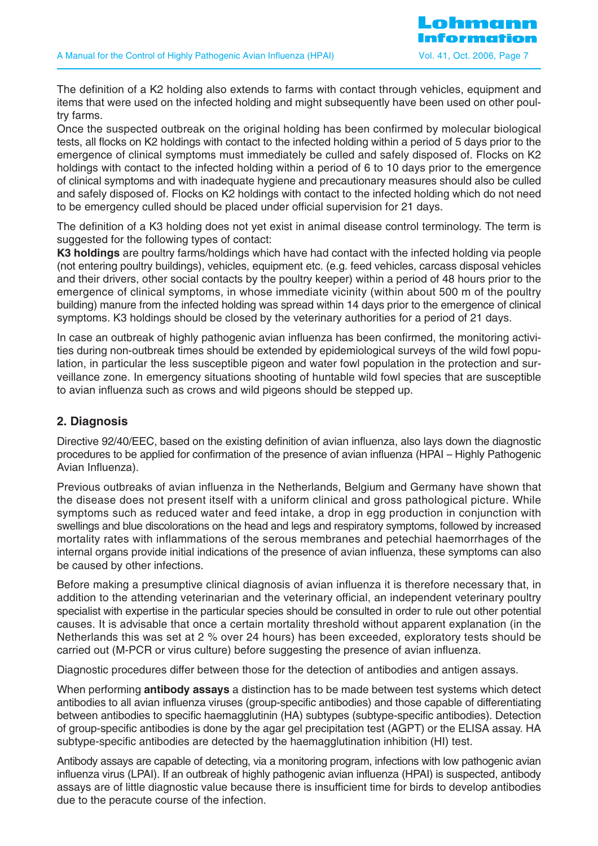The definition of a K2 holding also extends to farms with contact through vehicles, equipment and items that were used on the infected holding and might subsequently have been used on other poultry farms.

Once the suspected outbreak on the original holding has been confirmed by molecular biological tests, all flocks on K2 holdings with contact to the infected holding within a period of 5 days prior to the emergence of clinical symptoms must immediately be culled and safely disposed of. Flocks on K2 holdings with contact to the infected holding within a period of 6 to 10 days prior to the emergence of clinical symptoms and with inadequate hygiene and precautionary measures should also be culled and safely disposed of. Flocks on K2 holdings with contact to the infected holding which do not need to be emergency culled should be placed under official supervision for 21 days.

The definition of a K3 holding does not yet exist in animal disease control terminology. The term is suggested for the following types of contact:

**K3 holdings** are poultry farms/holdings which have had contact with the infected holding via people (not entering poultry buildings), vehicles, equipment etc. (e.g. feed vehicles, carcass disposal vehicles and their drivers, other social contacts by the poultry keeper) within a period of 48 hours prior to the emergence of clinical symptoms, in whose immediate vicinity (within about 500 m of the poultry building) manure from the infected holding was spread within 14 days prior to the emergence of clinical symptoms. K3 holdings should be closed by the veterinary authorities for a period of 21 days.

In case an outbreak of highly pathogenic avian influenza has been confirmed, the monitoring activities during non-outbreak times should be extended by epidemiological surveys of the wild fowl population, in particular the less susceptible pigeon and water fowl population in the protection and surveillance zone. In emergency situations shooting of huntable wild fowl species that are susceptible to avian influenza such as crows and wild pigeons should be stepped up.

## **2. Diagnosis**

Directive 92/40/EEC, based on the existing definition of avian influenza, also lays down the diagnostic procedures to be applied for confirmation of the presence of avian influenza (HPAI – Highly Pathogenic Avian Influenza).

Previous outbreaks of avian influenza in the Netherlands, Belgium and Germany have shown that the disease does not present itself with a uniform clinical and gross pathological picture. While symptoms such as reduced water and feed intake, a drop in egg production in conjunction with swellings and blue discolorations on the head and legs and respiratory symptoms, followed by increased mortality rates with inflammations of the serous membranes and petechial haemorrhages of the internal organs provide initial indications of the presence of avian influenza, these symptoms can also be caused by other infections.

Before making a presumptive clinical diagnosis of avian influenza it is therefore necessary that, in addition to the attending veterinarian and the veterinary official, an independent veterinary poultry specialist with expertise in the particular species should be consulted in order to rule out other potential causes. It is advisable that once a certain mortality threshold without apparent explanation (in the Netherlands this was set at 2 % over 24 hours) has been exceeded, exploratory tests should be carried out (M-PCR or virus culture) before suggesting the presence of avian influenza.

Diagnostic procedures differ between those for the detection of antibodies and antigen assays.

When performing **antibody assays** a distinction has to be made between test systems which detect antibodies to all avian influenza viruses (group-specific antibodies) and those capable of differentiating between antibodies to specific haemagglutinin (HA) subtypes (subtype-specific antibodies). Detection of group-specific antibodies is done by the agar gel precipitation test (AGPT) or the ELISA assay. HA subtype-specific antibodies are detected by the haemagglutination inhibition (HI) test.

Antibody assays are capable of detecting, via a monitoring program, infections with low pathogenic avian influenza virus (LPAI). If an outbreak of highly pathogenic avian influenza (HPAI) is suspected, antibody assays are of little diagnostic value because there is insufficient time for birds to develop antibodies due to the peracute course of the infection.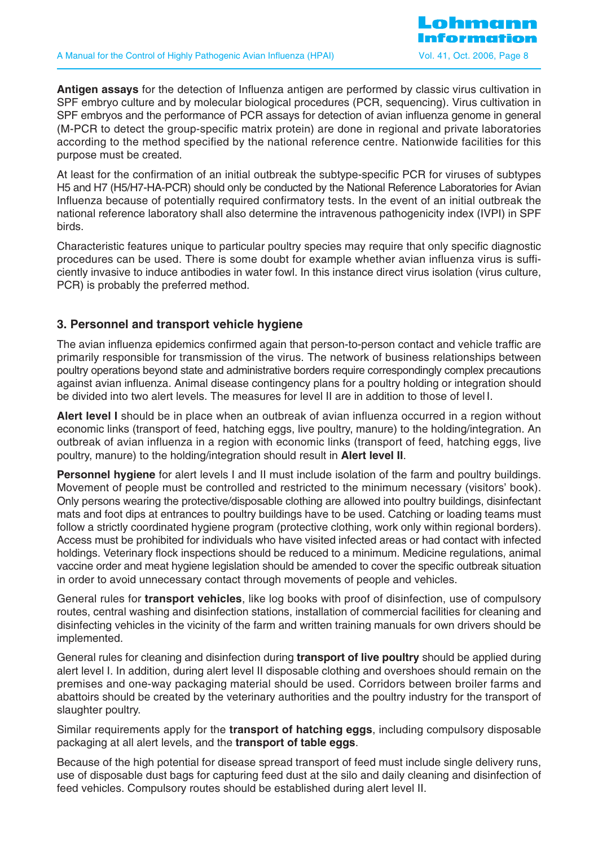**Antigen assays** for the detection of Influenza antigen are performed by classic virus cultivation in SPF embryo culture and by molecular biological procedures (PCR, sequencing). Virus cultivation in SPF embryos and the performance of PCR assays for detection of avian influenza genome in general (M-PCR to detect the group-specific matrix protein) are done in regional and private laboratories according to the method specified by the national reference centre. Nationwide facilities for this purpose must be created.

At least for the confirmation of an initial outbreak the subtype-specific PCR for viruses of subtypes H5 and H7 (H5/H7-HA-PCR) should only be conducted by the National Reference Laboratories for Avian Influenza because of potentially required confirmatory tests. In the event of an initial outbreak the national reference laboratory shall also determine the intravenous pathogenicity index (IVPI) in SPF birds.

Characteristic features unique to particular poultry species may require that only specific diagnostic procedures can be used. There is some doubt for example whether avian influenza virus is sufficiently invasive to induce antibodies in water fowl. In this instance direct virus isolation (virus culture, PCR) is probably the preferred method.

#### **3. Personnel and transport vehicle hygiene**

The avian influenza epidemics confirmed again that person-to-person contact and vehicle traffic are primarily responsible for transmission of the virus. The network of business relationships between poultry operations beyond state and administrative borders require correspondingly complex precautions against avian influenza. Animal disease contingency plans for a poultry holding or integration should be divided into two alert levels. The measures for level II are in addition to those of level I.

**Alert level I** should be in place when an outbreak of avian influenza occurred in a region without economic links (transport of feed, hatching eggs, live poultry, manure) to the holding/integration. An outbreak of avian influenza in a region with economic links (transport of feed, hatching eggs, live poultry, manure) to the holding/integration should result in **Alert level II**.

**Personnel hygiene** for alert levels I and II must include isolation of the farm and poultry buildings. Movement of people must be controlled and restricted to the minimum necessary (visitors' book). Only persons wearing the protective/disposable clothing are allowed into poultry buildings, disinfectant mats and foot dips at entrances to poultry buildings have to be used. Catching or loading teams must follow a strictly coordinated hygiene program (protective clothing, work only within regional borders). Access must be prohibited for individuals who have visited infected areas or had contact with infected holdings. Veterinary flock inspections should be reduced to a minimum. Medicine regulations, animal vaccine order and meat hygiene legislation should be amended to cover the specific outbreak situation in order to avoid unnecessary contact through movements of people and vehicles.

General rules for **transport vehicles**, like log books with proof of disinfection, use of compulsory routes, central washing and disinfection stations, installation of commercial facilities for cleaning and disinfecting vehicles in the vicinity of the farm and written training manuals for own drivers should be implemented.

General rules for cleaning and disinfection during **transport of live poultry** should be applied during alert level I. In addition, during alert level II disposable clothing and overshoes should remain on the premises and one-way packaging material should be used. Corridors between broiler farms and abattoirs should be created by the veterinary authorities and the poultry industry for the transport of slaughter poultry.

Similar requirements apply for the **transport of hatching eggs**, including compulsory disposable packaging at all alert levels, and the **transport of table eggs**.

Because of the high potential for disease spread transport of feed must include single delivery runs, use of disposable dust bags for capturing feed dust at the silo and daily cleaning and disinfection of feed vehicles. Compulsory routes should be established during alert level II.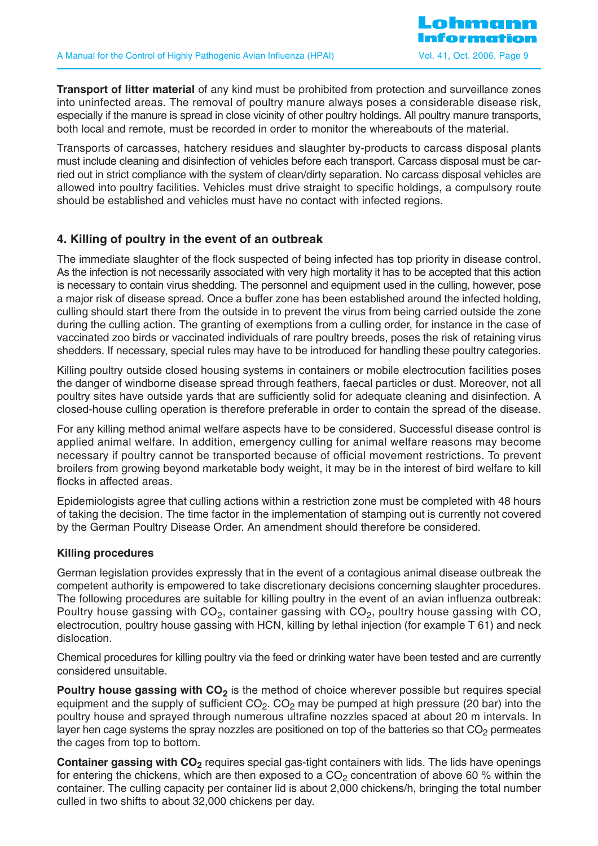**Transport of litter material** of any kind must be prohibited from protection and surveillance zones into uninfected areas. The removal of poultry manure always poses a considerable disease risk, especially if the manure is spread in close vicinity of other poultry holdings. All poultry manure transports, both local and remote, must be recorded in order to monitor the whereabouts of the material.

Transports of carcasses, hatchery residues and slaughter by-products to carcass disposal plants must include cleaning and disinfection of vehicles before each transport. Carcass disposal must be carried out in strict compliance with the system of clean/dirty separation. No carcass disposal vehicles are allowed into poultry facilities. Vehicles must drive straight to specific holdings, a compulsory route should be established and vehicles must have no contact with infected regions.

# **4. Killing of poultry in the event of an outbreak**

The immediate slaughter of the flock suspected of being infected has top priority in disease control. As the infection is not necessarily associated with very high mortality it has to be accepted that this action is necessary to contain virus shedding. The personnel and equipment used in the culling, however, pose a major risk of disease spread. Once a buffer zone has been established around the infected holding, culling should start there from the outside in to prevent the virus from being carried outside the zone during the culling action. The granting of exemptions from a culling order, for instance in the case of vaccinated zoo birds or vaccinated individuals of rare poultry breeds, poses the risk of retaining virus shedders. If necessary, special rules may have to be introduced for handling these poultry categories.

Killing poultry outside closed housing systems in containers or mobile electrocution facilities poses the danger of windborne disease spread through feathers, faecal particles or dust. Moreover, not all poultry sites have outside yards that are sufficiently solid for adequate cleaning and disinfection. A closed-house culling operation is therefore preferable in order to contain the spread of the disease.

For any killing method animal welfare aspects have to be considered. Successful disease control is applied animal welfare. In addition, emergency culling for animal welfare reasons may become necessary if poultry cannot be transported because of official movement restrictions. To prevent broilers from growing beyond marketable body weight, it may be in the interest of bird welfare to kill flocks in affected areas.

Epidemiologists agree that culling actions within a restriction zone must be completed with 48 hours of taking the decision. The time factor in the implementation of stamping out is currently not covered by the German Poultry Disease Order. An amendment should therefore be considered.

#### **Killing procedures**

German legislation provides expressly that in the event of a contagious animal disease outbreak the competent authority is empowered to take discretionary decisions concerning slaughter procedures. The following procedures are suitable for killing poultry in the event of an avian influenza outbreak: Poultry house gassing with  $CO<sub>2</sub>$ , container gassing with  $CO<sub>2</sub>$ , poultry house gassing with CO, electrocution, poultry house gassing with HCN, killing by lethal injection (for example T 61) and neck dislocation.

Chemical procedures for killing poultry via the feed or drinking water have been tested and are currently considered unsuitable.

**Poultry house gassing with CO<sub>2</sub>** is the method of choice wherever possible but requires special equipment and the supply of sufficient  $CO<sub>2</sub>$ .  $CO<sub>2</sub>$  may be pumped at high pressure (20 bar) into the poultry house and sprayed through numerous ultrafine nozzles spaced at about 20 m intervals. In layer hen cage systems the spray nozzles are positioned on top of the batteries so that  $CO<sub>2</sub>$  permeates the cages from top to bottom.

**Container gassing with CO<sub>2</sub>** requires special gas-tight containers with lids. The lids have openings for entering the chickens, which are then exposed to a  $CO<sub>2</sub>$  concentration of above 60 % within the container. The culling capacity per container lid is about 2,000 chickens/h, bringing the total number culled in two shifts to about 32,000 chickens per day.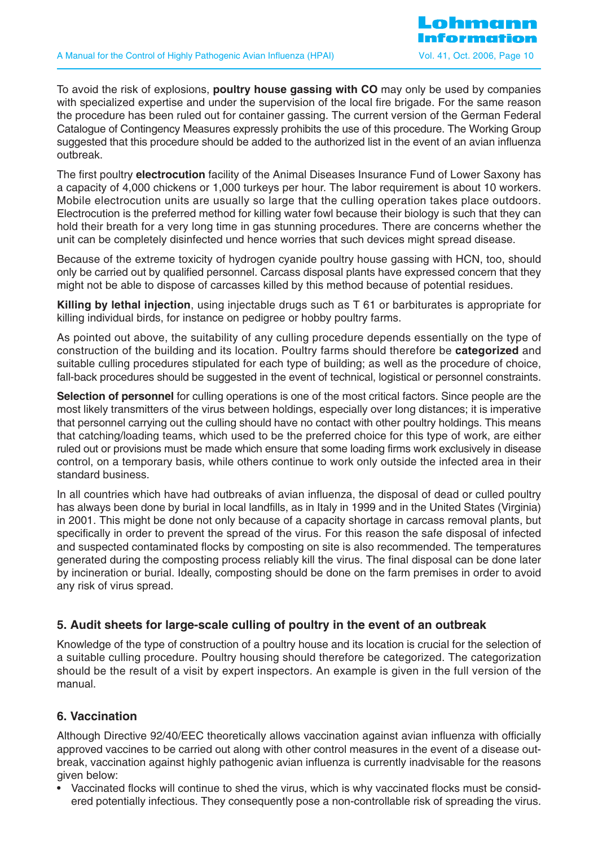To avoid the risk of explosions, **poultry house gassing with CO** may only be used by companies with specialized expertise and under the supervision of the local fire brigade. For the same reason the procedure has been ruled out for container gassing. The current version of the German Federal Catalogue of Contingency Measures expressly prohibits the use of this procedure. The Working Group suggested that this procedure should be added to the authorized list in the event of an avian influenza outbreak.

The first poultry **electrocution** facility of the Animal Diseases Insurance Fund of Lower Saxony has a capacity of 4,000 chickens or 1,000 turkeys per hour. The labor requirement is about 10 workers. Mobile electrocution units are usually so large that the culling operation takes place outdoors. Electrocution is the preferred method for killing water fowl because their biology is such that they can hold their breath for a very long time in gas stunning procedures. There are concerns whether the unit can be completely disinfected und hence worries that such devices might spread disease.

Because of the extreme toxicity of hydrogen cyanide poultry house gassing with HCN, too, should only be carried out by qualified personnel. Carcass disposal plants have expressed concern that they might not be able to dispose of carcasses killed by this method because of potential residues.

**Killing by lethal injection**, using injectable drugs such as T 61 or barbiturates is appropriate for killing individual birds, for instance on pedigree or hobby poultry farms.

As pointed out above, the suitability of any culling procedure depends essentially on the type of construction of the building and its location. Poultry farms should therefore be **categorized** and suitable culling procedures stipulated for each type of building; as well as the procedure of choice, fall-back procedures should be suggested in the event of technical, logistical or personnel constraints.

**Selection of personnel** for culling operations is one of the most critical factors. Since people are the most likely transmitters of the virus between holdings, especially over long distances; it is imperative that personnel carrying out the culling should have no contact with other poultry holdings. This means that catching/loading teams, which used to be the preferred choice for this type of work, are either ruled out or provisions must be made which ensure that some loading firms work exclusively in disease control, on a temporary basis, while others continue to work only outside the infected area in their standard business.

In all countries which have had outbreaks of avian influenza, the disposal of dead or culled poultry has always been done by burial in local landfills, as in Italy in 1999 and in the United States (Virginia) in 2001. This might be done not only because of a capacity shortage in carcass removal plants, but specifically in order to prevent the spread of the virus. For this reason the safe disposal of infected and suspected contaminated flocks by composting on site is also recommended. The temperatures generated during the composting process reliably kill the virus. The final disposal can be done later by incineration or burial. Ideally, composting should be done on the farm premises in order to avoid any risk of virus spread.

# **5. Audit sheets for large-scale culling of poultry in the event of an outbreak**

Knowledge of the type of construction of a poultry house and its location is crucial for the selection of a suitable culling procedure. Poultry housing should therefore be categorized. The categorization should be the result of a visit by expert inspectors. An example is given in the full version of the manual.

# **6. Vaccination**

Although Directive 92/40/EEC theoretically allows vaccination against avian influenza with officially approved vaccines to be carried out along with other control measures in the event of a disease outbreak, vaccination against highly pathogenic avian influenza is currently inadvisable for the reasons given below:

• Vaccinated flocks will continue to shed the virus, which is why vaccinated flocks must be considered potentially infectious. They consequently pose a non-controllable risk of spreading the virus.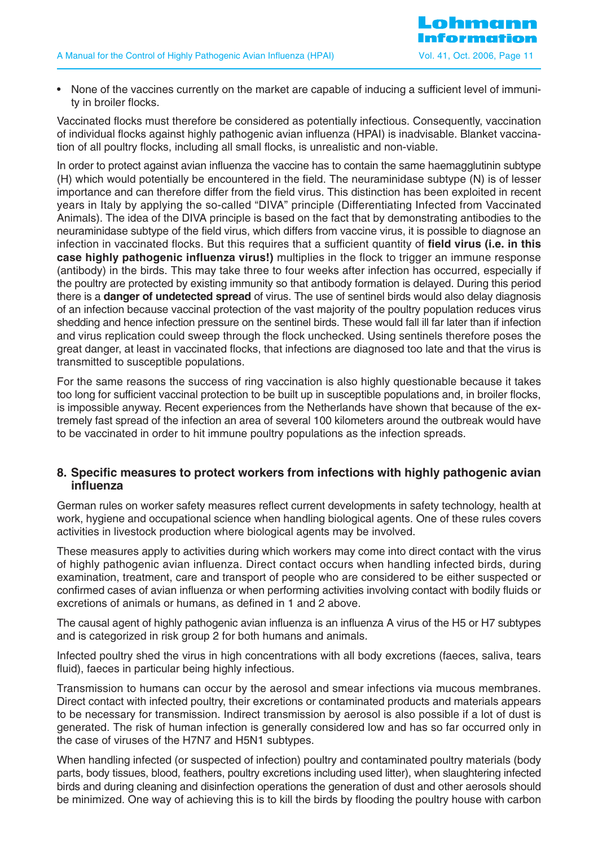• None of the vaccines currently on the market are capable of inducing a sufficient level of immunity in broiler flocks.

Vaccinated flocks must therefore be considered as potentially infectious. Consequently, vaccination of individual flocks against highly pathogenic avian influenza (HPAI) is inadvisable. Blanket vaccination of all poultry flocks, including all small flocks, is unrealistic and non-viable.

In order to protect against avian influenza the vaccine has to contain the same haemagglutinin subtype (H) which would potentially be encountered in the field. The neuraminidase subtype (N) is of lesser importance and can therefore differ from the field virus. This distinction has been exploited in recent years in Italy by applying the so-called "DIVA" principle (Differentiating Infected from Vaccinated Animals). The idea of the DIVA principle is based on the fact that by demonstrating antibodies to the neuraminidase subtype of the field virus, which differs from vaccine virus, it is possible to diagnose an infection in vaccinated flocks. But this requires that a sufficient quantity of **field virus (i.e. in this case highly pathogenic influenza virus!)** multiplies in the flock to trigger an immune response (antibody) in the birds. This may take three to four weeks after infection has occurred, especially if the poultry are protected by existing immunity so that antibody formation is delayed. During this period there is a **danger of undetected spread** of virus. The use of sentinel birds would also delay diagnosis of an infection because vaccinal protection of the vast majority of the poultry population reduces virus shedding and hence infection pressure on the sentinel birds. These would fall ill far later than if infection and virus replication could sweep through the flock unchecked. Using sentinels therefore poses the great danger, at least in vaccinated flocks, that infections are diagnosed too late and that the virus is transmitted to susceptible populations.

For the same reasons the success of ring vaccination is also highly questionable because it takes too long for sufficient vaccinal protection to be built up in susceptible populations and, in broiler flocks, is impossible anyway. Recent experiences from the Netherlands have shown that because of the extremely fast spread of the infection an area of several 100 kilometers around the outbreak would have to be vaccinated in order to hit immune poultry populations as the infection spreads.

## **8. Specific measures to protect workers from infections with highly pathogenic avian influenza**

German rules on worker safety measures reflect current developments in safety technology, health at work, hygiene and occupational science when handling biological agents. One of these rules covers activities in livestock production where biological agents may be involved.

These measures apply to activities during which workers may come into direct contact with the virus of highly pathogenic avian influenza. Direct contact occurs when handling infected birds, during examination, treatment, care and transport of people who are considered to be either suspected or confirmed cases of avian influenza or when performing activities involving contact with bodily fluids or excretions of animals or humans, as defined in 1 and 2 above.

The causal agent of highly pathogenic avian influenza is an influenza A virus of the H5 or H7 subtypes and is categorized in risk group 2 for both humans and animals.

Infected poultry shed the virus in high concentrations with all body excretions (faeces, saliva, tears fluid), faeces in particular being highly infectious.

Transmission to humans can occur by the aerosol and smear infections via mucous membranes. Direct contact with infected poultry, their excretions or contaminated products and materials appears to be necessary for transmission. Indirect transmission by aerosol is also possible if a lot of dust is generated. The risk of human infection is generally considered low and has so far occurred only in the case of viruses of the H7N7 and H5N1 subtypes.

When handling infected (or suspected of infection) poultry and contaminated poultry materials (body parts, body tissues, blood, feathers, poultry excretions including used litter), when slaughtering infected birds and during cleaning and disinfection operations the generation of dust and other aerosols should be minimized. One way of achieving this is to kill the birds by flooding the poultry house with carbon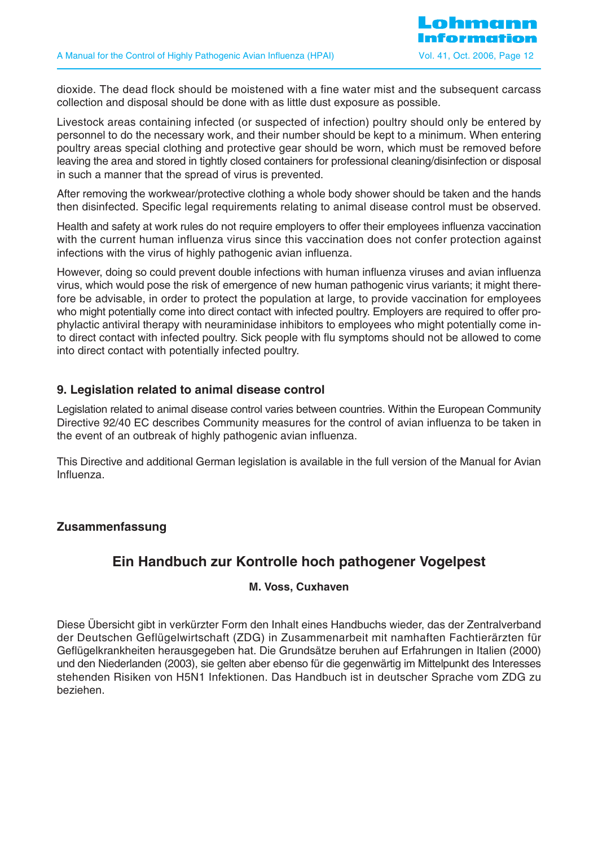dioxide. The dead flock should be moistened with a fine water mist and the subsequent carcass collection and disposal should be done with as little dust exposure as possible.

Livestock areas containing infected (or suspected of infection) poultry should only be entered by personnel to do the necessary work, and their number should be kept to a minimum. When entering poultry areas special clothing and protective gear should be worn, which must be removed before leaving the area and stored in tightly closed containers for professional cleaning/disinfection or disposal in such a manner that the spread of virus is prevented.

After removing the workwear/protective clothing a whole body shower should be taken and the hands then disinfected. Specific legal requirements relating to animal disease control must be observed.

Health and safety at work rules do not require employers to offer their employees influenza vaccination with the current human influenza virus since this vaccination does not confer protection against infections with the virus of highly pathogenic avian influenza.

However, doing so could prevent double infections with human influenza viruses and avian influenza virus, which would pose the risk of emergence of new human pathogenic virus variants; it might therefore be advisable, in order to protect the population at large, to provide vaccination for employees who might potentially come into direct contact with infected poultry. Employers are required to offer prophylactic antiviral therapy with neuraminidase inhibitors to employees who might potentially come into direct contact with infected poultry. Sick people with flu symptoms should not be allowed to come into direct contact with potentially infected poultry.

#### **9. Legislation related to animal disease control**

Legislation related to animal disease control varies between countries. Within the European Community Directive 92/40 EC describes Community measures for the control of avian influenza to be taken in the event of an outbreak of highly pathogenic avian influenza.

This Directive and additional German legislation is available in the full version of the Manual for Avian Influenza.

#### **Zusammenfassung**

# **Ein Handbuch zur Kontrolle hoch pathogener Vogelpest**

#### **M. Voss, Cuxhaven**

Diese Übersicht gibt in verkürzter Form den Inhalt eines Handbuchs wieder, das der Zentralverband der Deutschen Geflügelwirtschaft (ZDG) in Zusammenarbeit mit namhaften Fachtierärzten für Geflügelkrankheiten herausgegeben hat. Die Grundsätze beruhen auf Erfahrungen in Italien (2000) und den Niederlanden (2003), sie gelten aber ebenso für die gegenwärtig im Mittelpunkt des Interesses stehenden Risiken von H5N1 Infektionen. Das Handbuch ist in deutscher Sprache vom ZDG zu beziehen.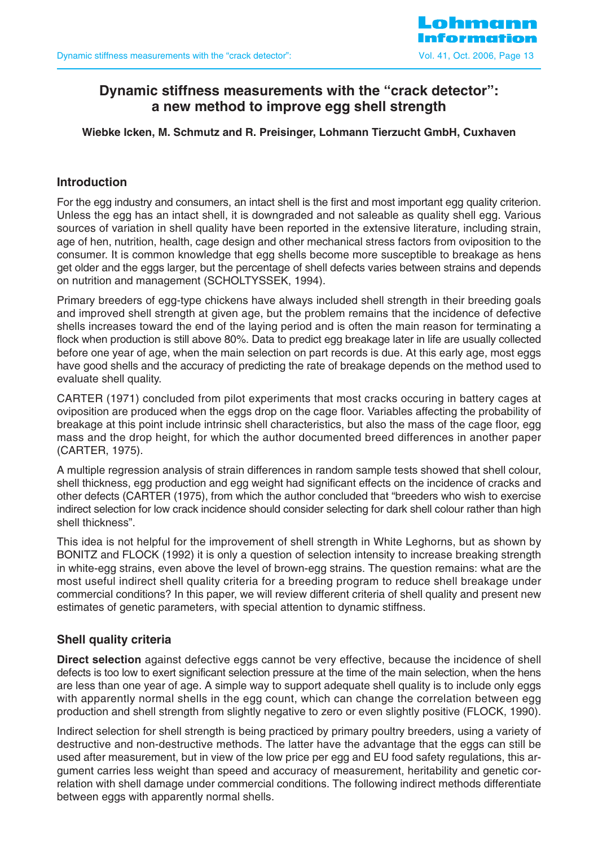

# **Dynamic stiffness measurements with the "crack detector": a new method to improve egg shell strength**

## **Wiebke Icken, M. Schmutz and R. Preisinger, Lohmann Tierzucht GmbH, Cuxhaven**

## **Introduction**

For the egg industry and consumers, an intact shell is the first and most important egg quality criterion. Unless the egg has an intact shell, it is downgraded and not saleable as quality shell egg. Various sources of variation in shell quality have been reported in the extensive literature, including strain, age of hen, nutrition, health, cage design and other mechanical stress factors from oviposition to the consumer. It is common knowledge that egg shells become more susceptible to breakage as hens get older and the eggs larger, but the percentage of shell defects varies between strains and depends on nutrition and management (SCHOLTYSSEK, 1994).

Primary breeders of egg-type chickens have always included shell strength in their breeding goals and improved shell strength at given age, but the problem remains that the incidence of defective shells increases toward the end of the laying period and is often the main reason for terminating a flock when production is still above 80%. Data to predict egg breakage later in life are usually collected before one year of age, when the main selection on part records is due. At this early age, most eggs have good shells and the accuracy of predicting the rate of breakage depends on the method used to evaluate shell quality.

CARTER (1971) concluded from pilot experiments that most cracks occuring in battery cages at oviposition are produced when the eggs drop on the cage floor. Variables affecting the probability of breakage at this point include intrinsic shell characteristics, but also the mass of the cage floor, egg mass and the drop height, for which the author documented breed differences in another paper (CARTER, 1975).

A multiple regression analysis of strain differences in random sample tests showed that shell colour, shell thickness, egg production and egg weight had significant effects on the incidence of cracks and other defects (CARTER (1975), from which the author concluded that "breeders who wish to exercise indirect selection for low crack incidence should consider selecting for dark shell colour rather than high shell thickness".

This idea is not helpful for the improvement of shell strength in White Leghorns, but as shown by BONITZ and FLOCK (1992) it is only a question of selection intensity to increase breaking strength in white-egg strains, even above the level of brown-egg strains. The question remains: what are the most useful indirect shell quality criteria for a breeding program to reduce shell breakage under commercial conditions? In this paper, we will review different criteria of shell quality and present new estimates of genetic parameters, with special attention to dynamic stiffness.

# **Shell quality criteria**

**Direct selection** against defective eggs cannot be very effective, because the incidence of shell defects is too low to exert significant selection pressure at the time of the main selection, when the hens are less than one year of age. A simple way to support adequate shell quality is to include only eggs with apparently normal shells in the egg count, which can change the correlation between egg production and shell strength from slightly negative to zero or even slightly positive (FLOCK, 1990).

Indirect selection for shell strength is being practiced by primary poultry breeders, using a variety of destructive and non-destructive methods. The latter have the advantage that the eggs can still be used after measurement, but in view of the low price per egg and EU food safety regulations, this argument carries less weight than speed and accuracy of measurement, heritability and genetic correlation with shell damage under commercial conditions. The following indirect methods differentiate between eggs with apparently normal shells.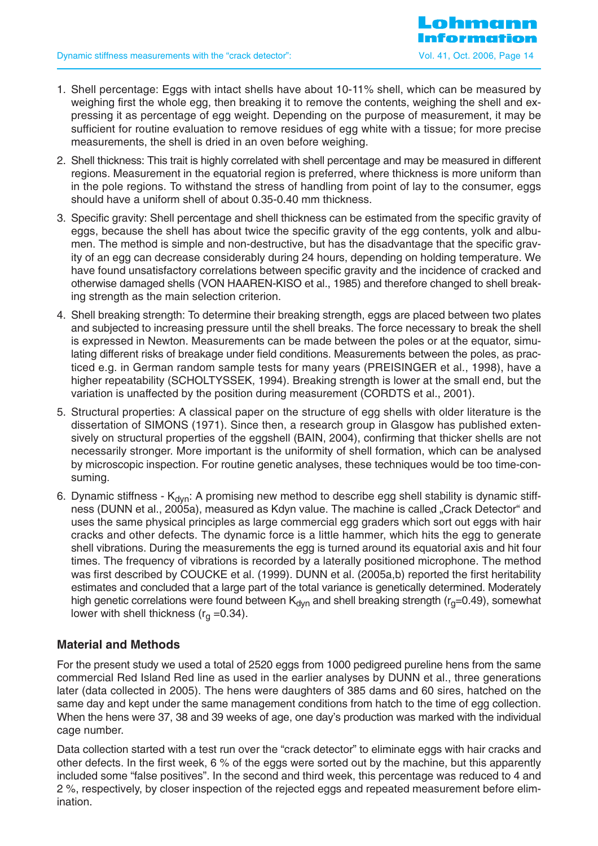- 1. Shell percentage: Eggs with intact shells have about 10-11% shell, which can be measured by weighing first the whole egg, then breaking it to remove the contents, weighing the shell and expressing it as percentage of egg weight. Depending on the purpose of measurement, it may be sufficient for routine evaluation to remove residues of egg white with a tissue; for more precise measurements, the shell is dried in an oven before weighing.
- 2. Shell thickness: This trait is highly correlated with shell percentage and may be measured in different regions. Measurement in the equatorial region is preferred, where thickness is more uniform than in the pole regions. To withstand the stress of handling from point of lay to the consumer, eggs should have a uniform shell of about 0.35-0.40 mm thickness.
- 3. Specific gravity: Shell percentage and shell thickness can be estimated from the specific gravity of eggs, because the shell has about twice the specific gravity of the egg contents, yolk and albumen. The method is simple and non-destructive, but has the disadvantage that the specific gravity of an egg can decrease considerably during 24 hours, depending on holding temperature. We have found unsatisfactory correlations between specific gravity and the incidence of cracked and otherwise damaged shells (VON HAAREN-KISO et al., 1985) and therefore changed to shell breaking strength as the main selection criterion.
- 4. Shell breaking strength: To determine their breaking strength, eggs are placed between two plates and subjected to increasing pressure until the shell breaks. The force necessary to break the shell is expressed in Newton. Measurements can be made between the poles or at the equator, simulating different risks of breakage under field conditions. Measurements between the poles, as practiced e.g. in German random sample tests for many years (PREISINGER et al., 1998), have a higher repeatability (SCHOLTYSSEK, 1994). Breaking strength is lower at the small end, but the variation is unaffected by the position during measurement (CORDTS et al., 2001).
- 5. Structural properties: A classical paper on the structure of egg shells with older literature is the dissertation of SIMONS (1971). Since then, a research group in Glasgow has published extensively on structural properties of the eggshell (BAIN, 2004), confirming that thicker shells are not necessarily stronger. More important is the uniformity of shell formation, which can be analysed by microscopic inspection. For routine genetic analyses, these techniques would be too time-consuming.
- 6. Dynamic stiffness  $K_{dyn}$ : A promising new method to describe egg shell stability is dynamic stiffness (DUNN et al., 2005a), measured as Kdyn value. The machine is called "Crack Detector" and uses the same physical principles as large commercial egg graders which sort out eggs with hair cracks and other defects. The dynamic force is a little hammer, which hits the egg to generate shell vibrations. During the measurements the egg is turned around its equatorial axis and hit four times. The frequency of vibrations is recorded by a laterally positioned microphone. The method was first described by COUCKE et al. (1999). DUNN et al. (2005a,b) reported the first heritability estimates and concluded that a large part of the total variance is genetically determined. Moderately high genetic correlations were found between  $K_{dyn}$  and shell breaking strength ( $r_{q}=0.49$ ), somewhat lower with shell thickness ( $r<sub>g</sub> = 0.34$ ).

# **Material and Methods**

For the present study we used a total of 2520 eggs from 1000 pedigreed pureline hens from the same commercial Red Island Red line as used in the earlier analyses by DUNN et al., three generations later (data collected in 2005). The hens were daughters of 385 dams and 60 sires, hatched on the same day and kept under the same management conditions from hatch to the time of egg collection. When the hens were 37, 38 and 39 weeks of age, one day's production was marked with the individual cage number.

Data collection started with a test run over the "crack detector" to eliminate eggs with hair cracks and other defects. In the first week, 6 % of the eggs were sorted out by the machine, but this apparently included some "false positives". In the second and third week, this percentage was reduced to 4 and 2 %, respectively, by closer inspection of the rejected eggs and repeated measurement before elimination.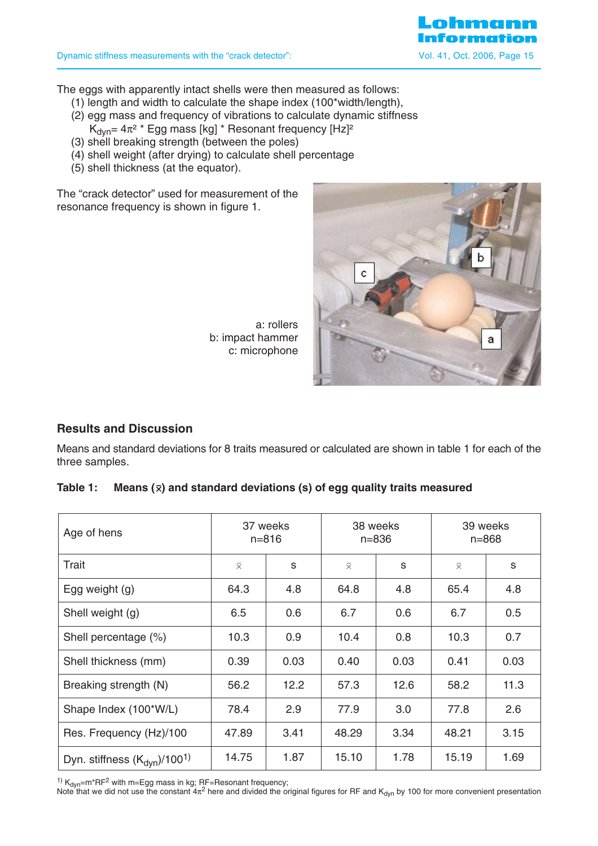The eggs with apparently intact shells were then measured as follows:

- (1) length and width to calculate the shape index (100\*width/length),
- (2) egg mass and frequency of vibrations to calculate dynamic stiffness  $K_{\text{dyn}} = 4\pi^2$  \* Egg mass [kg] \* Resonant frequency [Hz]<sup>2</sup>
- (3) shell breaking strength (between the poles)
- (4) shell weight (after drying) to calculate shell percentage
- (5) shell thickness (at the equator).

The "crack detector" used for measurement of the resonance frequency is shown in figure 1.



a: rollers b: impact hammer c: microphone

#### **Results and Discussion**

Means and standard deviations for 8 traits measured or calculated are shown in table 1 for each of the three samples.

| Age of hens                               | 37 weeks<br>$n = 816$   |      | 38 weeks<br>$n = 836$ |      | 39 weeks<br>$n = 868$ |      |
|-------------------------------------------|-------------------------|------|-----------------------|------|-----------------------|------|
| Trait                                     | $\overline{\mathsf{x}}$ | S    | $\bar{\times}$        | S    | $\bar{\times}$        | S    |
| Egg weight (g)                            | 64.3                    | 4.8  | 64.8                  | 4.8  | 65.4                  | 4.8  |
| Shell weight (g)                          | 6.5                     | 0.6  | 6.7                   | 0.6  | 6.7                   | 0.5  |
| Shell percentage (%)                      | 10.3                    | 0.9  | 10.4                  | 0.8  | 10.3                  | 0.7  |
| Shell thickness (mm)                      | 0.39                    | 0.03 | 0.40                  | 0.03 | 0.41                  | 0.03 |
| Breaking strength (N)                     | 56.2                    | 12.2 | 57.3                  | 12.6 | 58.2                  | 11.3 |
| Shape Index (100*W/L)                     | 78.4                    | 2.9  | 77.9                  | 3.0  | 77.8                  | 2.6  |
| Res. Frequency (Hz)/100                   | 47.89                   | 3.41 | 48.29                 | 3.34 | 48.21                 | 3.15 |
| Dyn. stiffness $(K_{\text{dyn}})/100^{1}$ | 14.75                   | 1.87 | 15.10                 | 1.78 | 15.19                 | 1.69 |

<sup>1)</sup> K<sub>dyn</sub>=m\*RF<sup>2</sup> with m=Egg mass in kg; RF=Resonant frequency;

Note that we did not use the constant 4 $\pi^2$  here and divided the original figures for RF and K<sub>dyn</sub> by 100 for more convenient presentation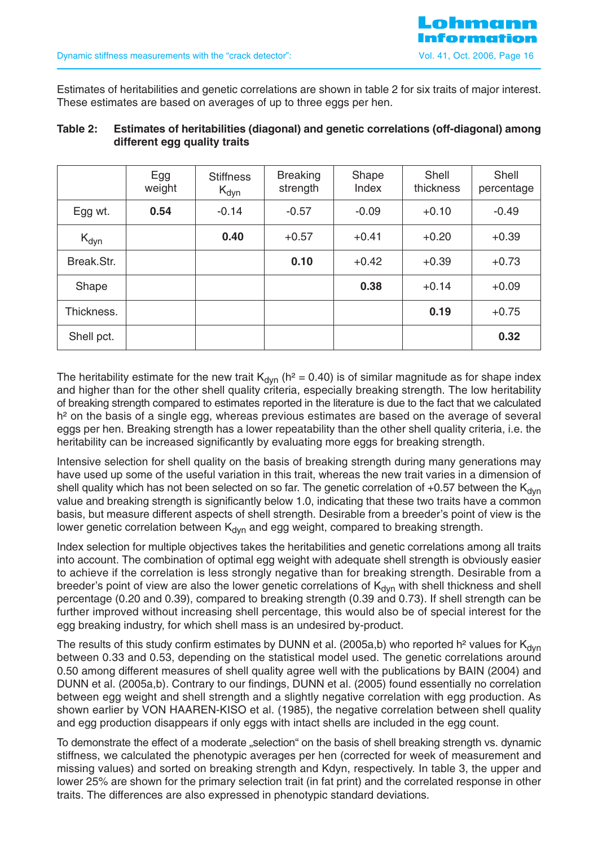

Estimates of heritabilities and genetic correlations are shown in table 2 for six traits of major interest. These estimates are based on averages of up to three eggs per hen.

#### **Table 2: Estimates of heritabilities (diagonal) and genetic correlations (off-diagonal) among different egg quality traits**

|                  | Egg<br>weight | <b>Stiffness</b><br>$K_{\text{dyn}}$ | <b>Breaking</b><br>strength | Shape<br>Index | Shell<br>thickness | Shell<br>percentage |
|------------------|---------------|--------------------------------------|-----------------------------|----------------|--------------------|---------------------|
| Egg wt.          | 0.54          | $-0.14$                              | $-0.57$                     | $-0.09$        | $+0.10$            | $-0.49$             |
| $K_{\text{dyn}}$ |               | 0.40                                 | $+0.57$                     | $+0.41$        | $+0.20$            | $+0.39$             |
| Break.Str.       |               |                                      | 0.10                        | $+0.42$        | $+0.39$            | $+0.73$             |
| Shape            |               |                                      |                             | 0.38           | $+0.14$            | $+0.09$             |
| Thickness.       |               |                                      |                             |                | 0.19               | $+0.75$             |
| Shell pct.       |               |                                      |                             |                |                    | 0.32                |

The heritability estimate for the new trait  $K_{dyn}$  (h<sup>2</sup> = 0.40) is of similar magnitude as for shape index and higher than for the other shell quality criteria, especially breaking strength. The low heritability of breaking strength compared to estimates reported in the literature is due to the fact that we calculated h<sup>2</sup> on the basis of a single egg, whereas previous estimates are based on the average of several eggs per hen. Breaking strength has a lower repeatability than the other shell quality criteria, i.e. the heritability can be increased significantly by evaluating more eggs for breaking strength.

Intensive selection for shell quality on the basis of breaking strength during many generations may have used up some of the useful variation in this trait, whereas the new trait varies in a dimension of shell quality which has not been selected on so far. The genetic correlation of  $+0.57$  between the  $K_{dyn}$ value and breaking strength is significantly below 1.0, indicating that these two traits have a common basis, but measure different aspects of shell strength. Desirable from a breeder's point of view is the lower genetic correlation between  $K_{dyn}$  and egg weight, compared to breaking strength.

Index selection for multiple objectives takes the heritabilities and genetic correlations among all traits into account. The combination of optimal egg weight with adequate shell strength is obviously easier to achieve if the correlation is less strongly negative than for breaking strength. Desirable from a breeder's point of view are also the lower genetic correlations of  $K_{dyn}$  with shell thickness and shell percentage (0.20 and 0.39), compared to breaking strength (0.39 and 0.73). If shell strength can be further improved without increasing shell percentage, this would also be of special interest for the egg breaking industry, for which shell mass is an undesired by-product.

The results of this study confirm estimates by DUNN et al. (2005a,b) who reported h<sup>2</sup> values for  $K_{\text{dyn}}$ between 0.33 and 0.53, depending on the statistical model used. The genetic correlations around 0.50 among different measures of shell quality agree well with the publications by BAIN (2004) and DUNN et al. (2005a,b). Contrary to our findings, DUNN et al. (2005) found essentially no correlation between egg weight and shell strength and a slightly negative correlation with egg production. As shown earlier by VON HAAREN-KISO et al. (1985), the negative correlation between shell quality and egg production disappears if only eggs with intact shells are included in the egg count.

To demonstrate the effect of a moderate ..selection" on the basis of shell breaking strength vs. dynamic stiffness, we calculated the phenotypic averages per hen (corrected for week of measurement and missing values) and sorted on breaking strength and Kdyn, respectively. In table 3, the upper and lower 25% are shown for the primary selection trait (in fat print) and the correlated response in other traits. The differences are also expressed in phenotypic standard deviations.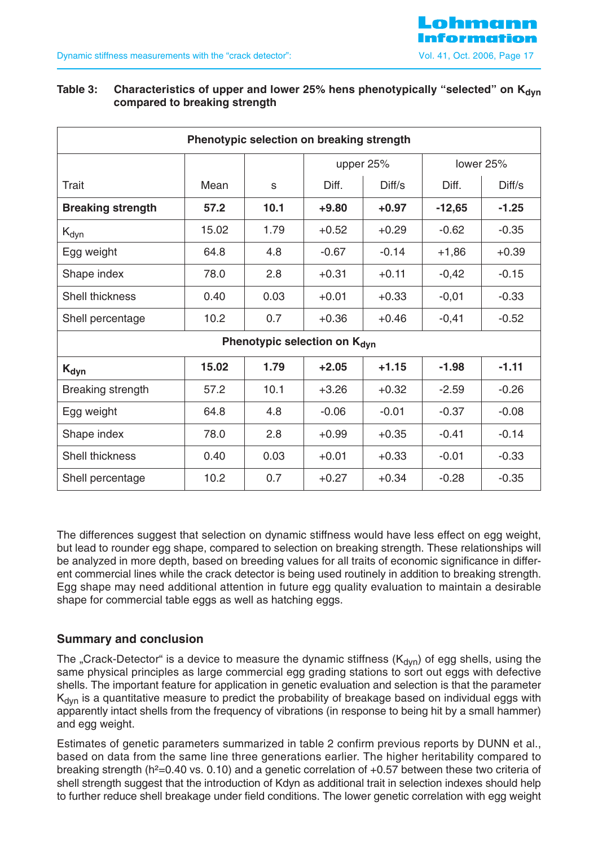

#### Table 3: Characteristics of upper and lower 25% hens phenotypically "selected" on K<sub>dyn</sub> **compared to breaking strength**

| Phenotypic selection on breaking strength |       |      |                                          |         |           |         |  |
|-------------------------------------------|-------|------|------------------------------------------|---------|-----------|---------|--|
|                                           |       |      | upper 25%                                |         | lower 25% |         |  |
| Trait                                     | Mean  | S    | Diff.                                    | Diff/s  | Diff.     | Diff/s  |  |
| <b>Breaking strength</b>                  | 57.2  | 10.1 | $+9.80$                                  | $+0.97$ | $-12,65$  | $-1.25$ |  |
| $K_{dyn}$                                 | 15.02 | 1.79 | $+0.52$                                  | $+0.29$ | $-0.62$   | $-0.35$ |  |
| Egg weight                                | 64.8  | 4.8  | $-0.67$                                  | $-0.14$ | $+1,86$   | $+0.39$ |  |
| Shape index                               | 78.0  | 2.8  | $+0.31$                                  | $+0.11$ | $-0,42$   | $-0.15$ |  |
| <b>Shell thickness</b>                    | 0.40  | 0.03 | $+0.01$                                  | $+0.33$ | $-0,01$   | $-0.33$ |  |
| Shell percentage                          | 10.2  | 0.7  | $+0.36$                                  | $+0.46$ | $-0,41$   | $-0.52$ |  |
|                                           |       |      | Phenotypic selection on K <sub>dvn</sub> |         |           |         |  |
| $K_{\text{dyn}}$                          | 15.02 | 1.79 | $+2.05$                                  | $+1.15$ | $-1.98$   | $-1.11$ |  |
| <b>Breaking strength</b>                  | 57.2  | 10.1 | $+3.26$                                  | $+0.32$ | $-2.59$   | $-0.26$ |  |
| Egg weight                                | 64.8  | 4.8  | $-0.06$                                  | $-0.01$ | $-0.37$   | $-0.08$ |  |
| Shape index                               | 78.0  | 2.8  | $+0.99$                                  | $+0.35$ | $-0.41$   | $-0.14$ |  |
| <b>Shell thickness</b>                    | 0.40  | 0.03 | $+0.01$                                  | $+0.33$ | $-0.01$   | $-0.33$ |  |
| Shell percentage                          | 10.2  | 0.7  | $+0.27$                                  | $+0.34$ | $-0.28$   | $-0.35$ |  |

The differences suggest that selection on dynamic stiffness would have less effect on egg weight, but lead to rounder egg shape, compared to selection on breaking strength. These relationships will be analyzed in more depth, based on breeding values for all traits of economic significance in different commercial lines while the crack detector is being used routinely in addition to breaking strength. Egg shape may need additional attention in future egg quality evaluation to maintain a desirable shape for commercial table eggs as well as hatching eggs.

# **Summary and conclusion**

The "Crack-Detector" is a device to measure the dynamic stiffness  $(K_{\text{dyn}})$  of egg shells, using the same physical principles as large commercial egg grading stations to sort out eggs with defective shells. The important feature for application in genetic evaluation and selection is that the parameter  $K_{dyn}$  is a quantitative measure to predict the probability of breakage based on individual eggs with apparently intact shells from the frequency of vibrations (in response to being hit by a small hammer) and egg weight.

Estimates of genetic parameters summarized in table 2 confirm previous reports by DUNN et al., based on data from the same line three generations earlier. The higher heritability compared to breaking strength (h²=0.40 vs. 0.10) and a genetic correlation of +0.57 between these two criteria of shell strength suggest that the introduction of Kdyn as additional trait in selection indexes should help to further reduce shell breakage under field conditions. The lower genetic correlation with egg weight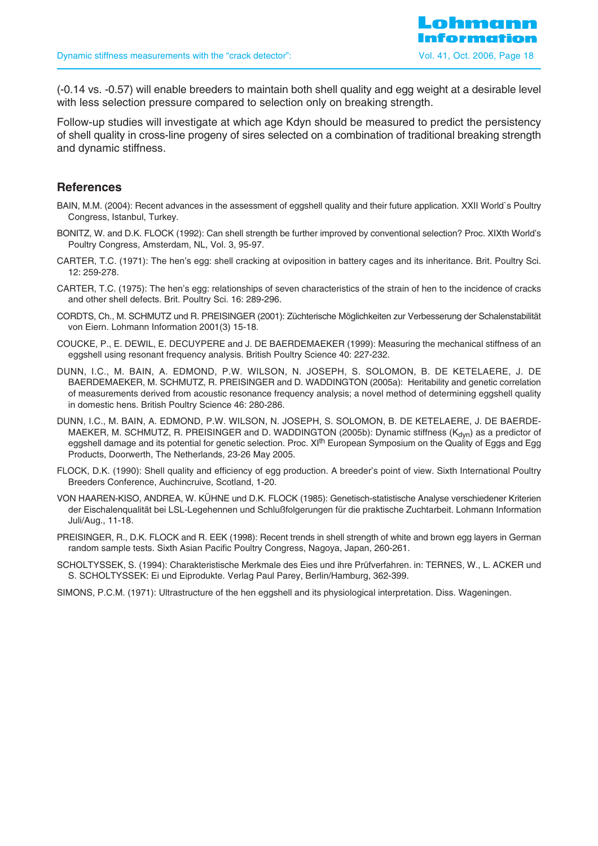(-0.14 vs. -0.57) will enable breeders to maintain both shell quality and egg weight at a desirable level with less selection pressure compared to selection only on breaking strength.

Follow-up studies will investigate at which age Kdyn should be measured to predict the persistency of shell quality in cross-line progeny of sires selected on a combination of traditional breaking strength and dynamic stiffness.

#### **References**

- BAIN, M.M. (2004): Recent advances in the assessment of eggshell quality and their future application. XXII World`s Poultry Congress, Istanbul, Turkey.
- BONITZ, W. and D.K. FLOCK (1992): Can shell strength be further improved by conventional selection? Proc. XIXth World's Poultry Congress, Amsterdam, NL, Vol. 3, 95-97.
- CARTER, T.C. (1971): The hen's egg: shell cracking at oviposition in battery cages and its inheritance. Brit. Poultry Sci. 12: 259-278.
- CARTER, T.C. (1975): The hen's egg: relationships of seven characteristics of the strain of hen to the incidence of cracks and other shell defects. Brit. Poultry Sci. 16: 289-296.
- CORDTS, Ch., M. SCHMUTZ und R. PREISINGER (2001): Züchterische Möglichkeiten zur Verbesserung der Schalenstabilität von Eiern. Lohmann Information 2001(3) 15-18.
- COUCKE, P., E. DEWIL, E. DECUYPERE and J. DE BAERDEMAEKER (1999): Measuring the mechanical stiffness of an eggshell using resonant frequency analysis. British Poultry Science 40: 227-232.
- DUNN, I.C., M. BAIN, A. EDMOND, P.W. WILSON, N. JOSEPH, S. SOLOMON, B. DE KETELAERE, J. DE BAERDEMAEKER, M. SCHMUTZ, R. PREISINGER and D. WADDINGTON (2005a): Heritability and genetic correlation of measurements derived from acoustic resonance frequency analysis; a novel method of determining eggshell quality in domestic hens. British Poultry Science 46: 280-286.
- DUNN, I.C., M. BAIN, A. EDMOND, P.W. WILSON, N. JOSEPH, S. SOLOMON, B. DE KETELAERE, J. DE BAERDE-MAEKER, M. SCHMUTZ, R. PREISINGER and D. WADDINGTON (2005b): Dynamic stiffness (K<sub>dyn</sub>) as a predictor of eggshell damage and its potential for genetic selection. Proc. XI<sup>th</sup> European Symposium on the Quality of Eggs and Egg Products, Doorwerth, The Netherlands, 23-26 May 2005.
- FLOCK, D.K. (1990): Shell quality and efficiency of egg production. A breeder's point of view. Sixth International Poultry Breeders Conference, Auchincruive, Scotland, 1-20.
- VON HAAREN-KISO, ANDREA, W. KÜHNE und D.K. FLOCK (1985): Genetisch-statistische Analyse verschiedener Kriterien der Eischalenqualität bei LSL-Legehennen und Schlußfolgerungen für die praktische Zuchtarbeit. Lohmann Information Juli/Aug., 11-18.
- PREISINGER, R., D.K. FLOCK and R. EEK (1998): Recent trends in shell strength of white and brown egg layers in German random sample tests. Sixth Asian Pacific Poultry Congress, Nagoya, Japan, 260-261.
- SCHOLTYSSEK, S. (1994): Charakteristische Merkmale des Eies und ihre Prüfverfahren. in: TERNES, W., L. ACKER und S. SCHOLTYSSEK: Ei und Eiprodukte. Verlag Paul Parey, Berlin/Hamburg, 362-399.
- SIMONS, P.C.M. (1971): Ultrastructure of the hen eggshell and its physiological interpretation. Diss. Wageningen.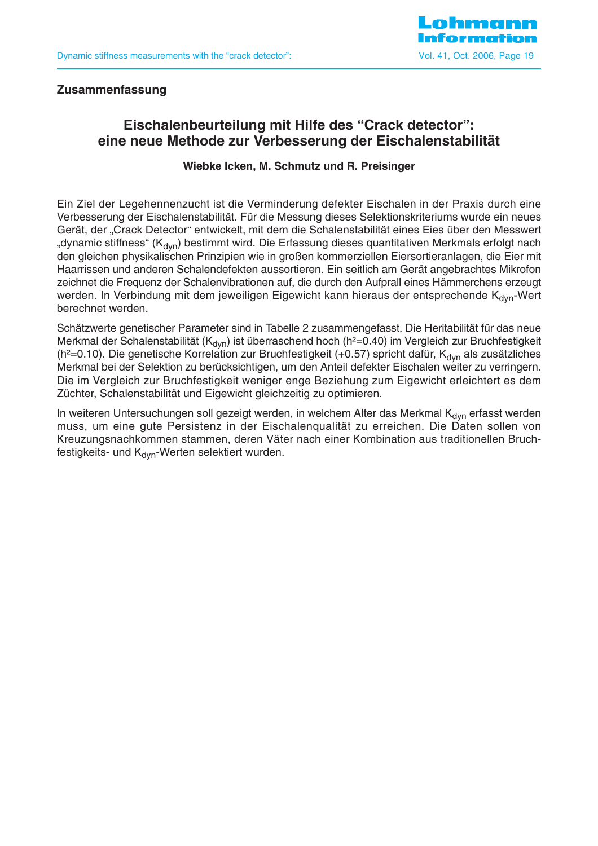#### **Zusammenfassung**



# **Eischalenbeurteilung mit Hilfe des "Crack detector": eine neue Methode zur Verbesserung der Eischalenstabilität**

#### **Wiebke Icken, M. Schmutz und R. Preisinger**

Ein Ziel der Legehennenzucht ist die Verminderung defekter Eischalen in der Praxis durch eine Verbesserung der Eischalenstabilität. Für die Messung dieses Selektionskriteriums wurde ein neues Gerät, der "Crack Detector" entwickelt, mit dem die Schalenstabilität eines Eies über den Messwert "dynamic stiffness" (K<sub>dyn</sub>) bestimmt wird. Die Erfassung dieses quantitativen Merkmals erfolgt nach den gleichen physikalischen Prinzipien wie in großen kommerziellen Eiersortieranlagen, die Eier mit Haarrissen und anderen Schalendefekten aussortieren. Ein seitlich am Gerät angebrachtes Mikrofon zeichnet die Frequenz der Schalenvibrationen auf, die durch den Aufprall eines Hämmerchens erzeugt werden. In Verbindung mit dem jeweiligen Eigewicht kann hieraus der entsprechende K<sub>dyn</sub>-Wert berechnet werden.

Schätzwerte genetischer Parameter sind in Tabelle 2 zusammengefasst. Die Heritabilität für das neue Merkmal der Schalenstabilität ( $K_{dyn}$ ) ist überraschend hoch (h<sup>2</sup>=0.40) im Vergleich zur Bruchfestigkeit (h<sup>2</sup>=0.10). Die genetische Korrelation zur Bruchfestigkeit (+0.57) spricht dafür, K<sub>dyn</sub> als zusätzliches Merkmal bei der Selektion zu berücksichtigen, um den Anteil defekter Eischalen weiter zu verringern. Die im Vergleich zur Bruchfestigkeit weniger enge Beziehung zum Eigewicht erleichtert es dem Züchter, Schalenstabilität und Eigewicht gleichzeitig zu optimieren.

In weiteren Untersuchungen soll gezeigt werden, in welchem Alter das Merkmal  $K_{dyn}$  erfasst werden muss, um eine gute Persistenz in der Eischalenqualität zu erreichen. Die Daten sollen von Kreuzungsnachkommen stammen, deren Väter nach einer Kombination aus traditionellen Bruchfestigkeits- und  $K_{\text{dyn}}$ -Werten selektiert wurden.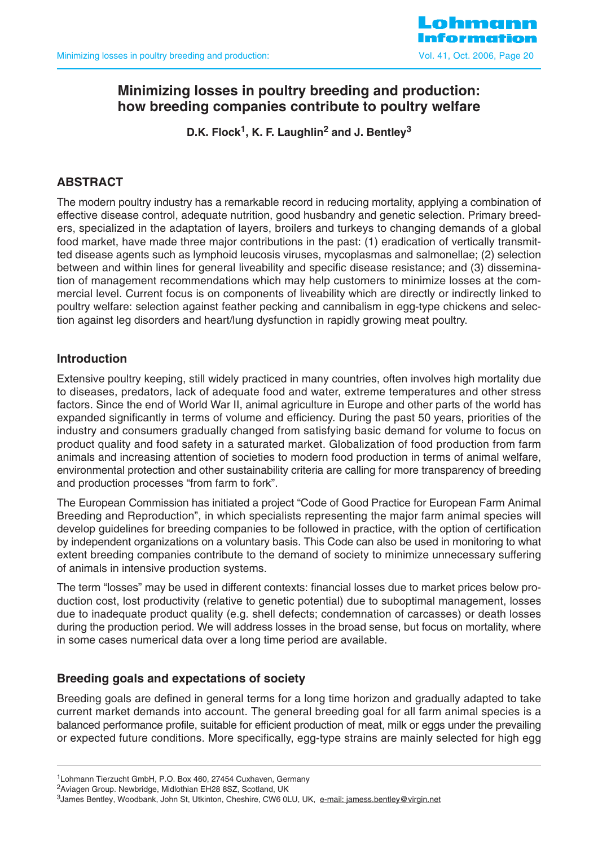

# **Minimizing losses in poultry breeding and production: how breeding companies contribute to poultry welfare**

**D.K. Flock1, K. F. Laughlin2 and J. Bentley<sup>3</sup>**

# **ABSTRACT**

The modern poultry industry has a remarkable record in reducing mortality, applying a combination of effective disease control, adequate nutrition, good husbandry and genetic selection. Primary breeders, specialized in the adaptation of layers, broilers and turkeys to changing demands of a global food market, have made three major contributions in the past: (1) eradication of vertically transmitted disease agents such as lymphoid leucosis viruses, mycoplasmas and salmonellae; (2) selection between and within lines for general liveability and specific disease resistance; and (3) dissemination of management recommendations which may help customers to minimize losses at the commercial level. Current focus is on components of liveability which are directly or indirectly linked to poultry welfare: selection against feather pecking and cannibalism in egg-type chickens and selection against leg disorders and heart/lung dysfunction in rapidly growing meat poultry.

# **Introduction**

Extensive poultry keeping, still widely practiced in many countries, often involves high mortality due to diseases, predators, lack of adequate food and water, extreme temperatures and other stress factors. Since the end of World War II, animal agriculture in Europe and other parts of the world has expanded significantly in terms of volume and efficiency. During the past 50 years, priorities of the industry and consumers gradually changed from satisfying basic demand for volume to focus on product quality and food safety in a saturated market. Globalization of food production from farm animals and increasing attention of societies to modern food production in terms of animal welfare, environmental protection and other sustainability criteria are calling for more transparency of breeding and production processes "from farm to fork".

The European Commission has initiated a project "Code of Good Practice for European Farm Animal Breeding and Reproduction", in which specialists representing the major farm animal species will develop guidelines for breeding companies to be followed in practice, with the option of certification by independent organizations on a voluntary basis. This Code can also be used in monitoring to what extent breeding companies contribute to the demand of society to minimize unnecessary suffering of animals in intensive production systems.

The term "losses" may be used in different contexts: financial losses due to market prices below production cost, lost productivity (relative to genetic potential) due to suboptimal management, losses due to inadequate product quality (e.g. shell defects; condemnation of carcasses) or death losses during the production period. We will address losses in the broad sense, but focus on mortality, where in some cases numerical data over a long time period are available.

# **Breeding goals and expectations of society**

Breeding goals are defined in general terms for a long time horizon and gradually adapted to take current market demands into account. The general breeding goal for all farm animal species is a balanced performance profile, suitable for efficient production of meat, milk or eggs under the prevailing or expected future conditions. More specifically, egg-type strains are mainly selected for high egg

<sup>1</sup>Lohmann Tierzucht GmbH, P.O. Box 460, 27454 Cuxhaven, Germany

<sup>2</sup>Aviagen Group. Newbridge, Midlothian EH28 8SZ, Scotland, UK

<sup>3</sup>James Bentley, Woodbank, John St, Utkinton, Cheshire, CW6 0LU, UK, e-mail: jamess.bentley@virgin.net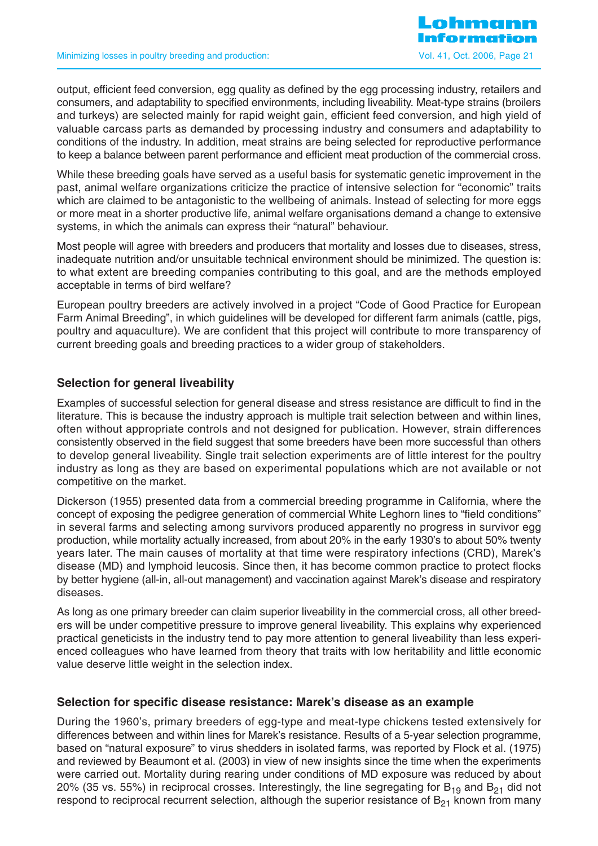output, efficient feed conversion, egg quality as defined by the egg processing industry, retailers and consumers, and adaptability to specified environments, including liveability. Meat-type strains (broilers and turkeys) are selected mainly for rapid weight gain, efficient feed conversion, and high yield of valuable carcass parts as demanded by processing industry and consumers and adaptability to conditions of the industry. In addition, meat strains are being selected for reproductive performance to keep a balance between parent performance and efficient meat production of the commercial cross.

While these breeding goals have served as a useful basis for systematic genetic improvement in the past, animal welfare organizations criticize the practice of intensive selection for "economic" traits which are claimed to be antagonistic to the wellbeing of animals. Instead of selecting for more eggs or more meat in a shorter productive life, animal welfare organisations demand a change to extensive systems, in which the animals can express their "natural" behaviour.

Most people will agree with breeders and producers that mortality and losses due to diseases, stress, inadequate nutrition and/or unsuitable technical environment should be minimized. The question is: to what extent are breeding companies contributing to this goal, and are the methods employed acceptable in terms of bird welfare?

European poultry breeders are actively involved in a project "Code of Good Practice for European Farm Animal Breeding", in which guidelines will be developed for different farm animals (cattle, pigs, poultry and aquaculture). We are confident that this project will contribute to more transparency of current breeding goals and breeding practices to a wider group of stakeholders.

# **Selection for general liveability**

Examples of successful selection for general disease and stress resistance are difficult to find in the literature. This is because the industry approach is multiple trait selection between and within lines, often without appropriate controls and not designed for publication. However, strain differences consistently observed in the field suggest that some breeders have been more successful than others to develop general liveability. Single trait selection experiments are of little interest for the poultry industry as long as they are based on experimental populations which are not available or not competitive on the market.

Dickerson (1955) presented data from a commercial breeding programme in California, where the concept of exposing the pedigree generation of commercial White Leghorn lines to "field conditions" in several farms and selecting among survivors produced apparently no progress in survivor egg production, while mortality actually increased, from about 20% in the early 1930's to about 50% twenty years later. The main causes of mortality at that time were respiratory infections (CRD), Marek's disease (MD) and lymphoid leucosis. Since then, it has become common practice to protect flocks by better hygiene (all-in, all-out management) and vaccination against Marek's disease and respiratory diseases.

As long as one primary breeder can claim superior liveability in the commercial cross, all other breeders will be under competitive pressure to improve general liveability. This explains why experienced practical geneticists in the industry tend to pay more attention to general liveability than less experienced colleagues who have learned from theory that traits with low heritability and little economic value deserve little weight in the selection index.

# **Selection for specific disease resistance: Marek's disease as an example**

During the 1960's, primary breeders of egg-type and meat-type chickens tested extensively for differences between and within lines for Marek's resistance. Results of a 5-year selection programme, based on "natural exposure" to virus shedders in isolated farms, was reported by Flock et al. (1975) and reviewed by Beaumont et al. (2003) in view of new insights since the time when the experiments were carried out. Mortality during rearing under conditions of MD exposure was reduced by about 20% (35 vs. 55%) in reciprocal crosses. Interestingly, the line segregating for  $B_{19}$  and  $B_{21}$  did not respond to reciprocal recurrent selection, although the superior resistance of  $B_{21}$  known from many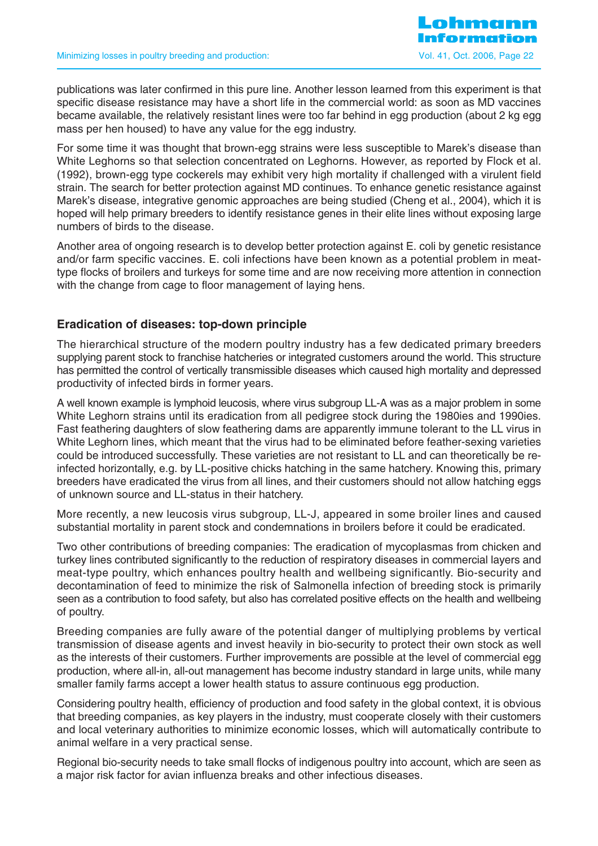

publications was later confirmed in this pure line. Another lesson learned from this experiment is that specific disease resistance may have a short life in the commercial world: as soon as MD vaccines became available, the relatively resistant lines were too far behind in egg production (about 2 kg egg mass per hen housed) to have any value for the egg industry.

For some time it was thought that brown-egg strains were less susceptible to Marek's disease than White Leghorns so that selection concentrated on Leghorns. However, as reported by Flock et al. (1992), brown-egg type cockerels may exhibit very high mortality if challenged with a virulent field strain. The search for better protection against MD continues. To enhance genetic resistance against Marek's disease, integrative genomic approaches are being studied (Cheng et al., 2004), which it is hoped will help primary breeders to identify resistance genes in their elite lines without exposing large numbers of birds to the disease.

Another area of ongoing research is to develop better protection against E. coli by genetic resistance and/or farm specific vaccines. E. coli infections have been known as a potential problem in meattype flocks of broilers and turkeys for some time and are now receiving more attention in connection with the change from cage to floor management of laying hens.

## **Eradication of diseases: top-down principle**

The hierarchical structure of the modern poultry industry has a few dedicated primary breeders supplying parent stock to franchise hatcheries or integrated customers around the world. This structure has permitted the control of vertically transmissible diseases which caused high mortality and depressed productivity of infected birds in former years.

A well known example is lymphoid leucosis, where virus subgroup LL-A was as a major problem in some White Leghorn strains until its eradication from all pedigree stock during the 1980ies and 1990ies. Fast feathering daughters of slow feathering dams are apparently immune tolerant to the LL virus in White Leghorn lines, which meant that the virus had to be eliminated before feather-sexing varieties could be introduced successfully. These varieties are not resistant to LL and can theoretically be reinfected horizontally, e.g. by LL-positive chicks hatching in the same hatchery. Knowing this, primary breeders have eradicated the virus from all lines, and their customers should not allow hatching eggs of unknown source and LL-status in their hatchery.

More recently, a new leucosis virus subgroup, LL-J, appeared in some broiler lines and caused substantial mortality in parent stock and condemnations in broilers before it could be eradicated.

Two other contributions of breeding companies: The eradication of mycoplasmas from chicken and turkey lines contributed significantly to the reduction of respiratory diseases in commercial layers and meat-type poultry, which enhances poultry health and wellbeing significantly. Bio-security and decontamination of feed to minimize the risk of Salmonella infection of breeding stock is primarily seen as a contribution to food safety, but also has correlated positive effects on the health and wellbeing of poultry.

Breeding companies are fully aware of the potential danger of multiplying problems by vertical transmission of disease agents and invest heavily in bio-security to protect their own stock as well as the interests of their customers. Further improvements are possible at the level of commercial egg production, where all-in, all-out management has become industry standard in large units, while many smaller family farms accept a lower health status to assure continuous egg production.

Considering poultry health, efficiency of production and food safety in the global context, it is obvious that breeding companies, as key players in the industry, must cooperate closely with their customers and local veterinary authorities to minimize economic losses, which will automatically contribute to animal welfare in a very practical sense.

Regional bio-security needs to take small flocks of indigenous poultry into account, which are seen as a major risk factor for avian influenza breaks and other infectious diseases.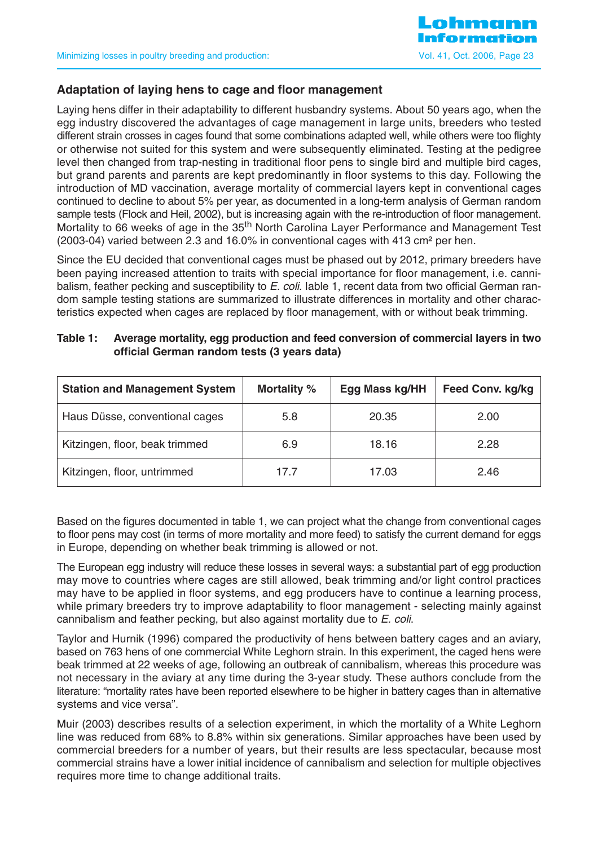

#### **Adaptation of laying hens to cage and floor management**

Laying hens differ in their adaptability to different husbandry systems. About 50 years ago, when the egg industry discovered the advantages of cage management in large units, breeders who tested different strain crosses in cages found that some combinations adapted well, while others were too flighty or otherwise not suited for this system and were subsequently eliminated. Testing at the pedigree level then changed from trap-nesting in traditional floor pens to single bird and multiple bird cages, but grand parents and parents are kept predominantly in floor systems to this day. Following the introduction of MD vaccination, average mortality of commercial layers kept in conventional cages continued to decline to about 5% per year, as documented in a long-term analysis of German random sample tests (Flock and Heil, 2002), but is increasing again with the re-introduction of floor management. Mortality to 66 weeks of age in the 35<sup>th</sup> North Carolina Layer Performance and Management Test (2003-04) varied between 2.3 and 16.0% in conventional cages with 413 cm² per hen.

Since the EU decided that conventional cages must be phased out by 2012, primary breeders have been paying increased attention to traits with special importance for floor management, i.e. cannibalism, feather pecking and susceptibility to E. coli. lable 1, recent data from two official German random sample testing stations are summarized to illustrate differences in mortality and other characteristics expected when cages are replaced by floor management, with or without beak trimming.

| Table 1: Average mortality, egg production and feed conversion of commercial layers in two |
|--------------------------------------------------------------------------------------------|
| official German random tests (3 years data)                                                |

| <b>Station and Management System</b> | Mortality % | Egg Mass kg/HH | Feed Conv. kg/kg |  |
|--------------------------------------|-------------|----------------|------------------|--|
| Haus Düsse, conventional cages       | 5.8         | 20.35          | 2.00             |  |
| Kitzingen, floor, beak trimmed       | 6.9         | 18.16          | 2.28             |  |
| Kitzingen, floor, untrimmed          | 17.7        | 17.03          | 2.46             |  |

Based on the figures documented in table 1, we can project what the change from conventional cages to floor pens may cost (in terms of more mortality and more feed) to satisfy the current demand for eggs in Europe, depending on whether beak trimming is allowed or not.

The European egg industry will reduce these losses in several ways: a substantial part of egg production may move to countries where cages are still allowed, beak trimming and/or light control practices may have to be applied in floor systems, and egg producers have to continue a learning process, while primary breeders try to improve adaptability to floor management - selecting mainly against cannibalism and feather pecking, but also against mortality due to E. coli.

Taylor and Hurnik (1996) compared the productivity of hens between battery cages and an aviary, based on 763 hens of one commercial White Leghorn strain. In this experiment, the caged hens were beak trimmed at 22 weeks of age, following an outbreak of cannibalism, whereas this procedure was not necessary in the aviary at any time during the 3-year study. These authors conclude from the literature: "mortality rates have been reported elsewhere to be higher in battery cages than in alternative systems and vice versa".

Muir (2003) describes results of a selection experiment, in which the mortality of a White Leghorn line was reduced from 68% to 8.8% within six generations. Similar approaches have been used by commercial breeders for a number of years, but their results are less spectacular, because most commercial strains have a lower initial incidence of cannibalism and selection for multiple objectives requires more time to change additional traits.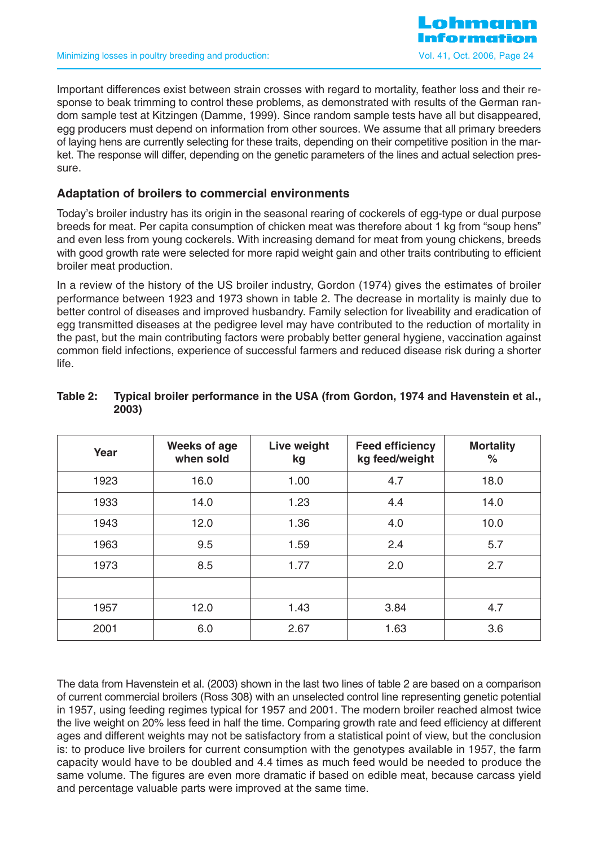

Important differences exist between strain crosses with regard to mortality, feather loss and their response to beak trimming to control these problems, as demonstrated with results of the German random sample test at Kitzingen (Damme, 1999). Since random sample tests have all but disappeared, egg producers must depend on information from other sources. We assume that all primary breeders of laying hens are currently selecting for these traits, depending on their competitive position in the market. The response will differ, depending on the genetic parameters of the lines and actual selection pressure.

#### **Adaptation of broilers to commercial environments**

Today's broiler industry has its origin in the seasonal rearing of cockerels of egg-type or dual purpose breeds for meat. Per capita consumption of chicken meat was therefore about 1 kg from "soup hens" and even less from young cockerels. With increasing demand for meat from young chickens, breeds with good growth rate were selected for more rapid weight gain and other traits contributing to efficient broiler meat production.

In a review of the history of the US broiler industry, Gordon (1974) gives the estimates of broiler performance between 1923 and 1973 shown in table 2. The decrease in mortality is mainly due to better control of diseases and improved husbandry. Family selection for liveability and eradication of egg transmitted diseases at the pedigree level may have contributed to the reduction of mortality in the past, but the main contributing factors were probably better general hygiene, vaccination against common field infections, experience of successful farmers and reduced disease risk during a shorter life.

| Year | Weeks of age<br>when sold | Live weight<br>kg | <b>Feed efficiency</b><br>kg feed/weight | <b>Mortality</b><br>$\%$ |
|------|---------------------------|-------------------|------------------------------------------|--------------------------|
| 1923 | 16.0                      | 1.00              | 4.7                                      | 18.0                     |
| 1933 | 14.0                      | 1.23              | 4.4                                      | 14.0                     |
| 1943 | 12.0                      | 1.36              | 4.0                                      | 10.0                     |
| 1963 | 9.5                       | 1.59              | 2.4                                      | 5.7                      |
| 1973 | 8.5                       | 1.77              | 2.0                                      | 2.7                      |
|      |                           |                   |                                          |                          |
| 1957 | 12.0                      | 1.43              | 3.84                                     | 4.7                      |
| 2001 | 6.0                       | 2.67              | 1.63                                     | 3.6                      |

#### **Table 2: Typical broiler performance in the USA (from Gordon, 1974 and Havenstein et al., 2003)**

The data from Havenstein et al. (2003) shown in the last two lines of table 2 are based on a comparison of current commercial broilers (Ross 308) with an unselected control line representing genetic potential in 1957, using feeding regimes typical for 1957 and 2001. The modern broiler reached almost twice the live weight on 20% less feed in half the time. Comparing growth rate and feed efficiency at different ages and different weights may not be satisfactory from a statistical point of view, but the conclusion is: to produce live broilers for current consumption with the genotypes available in 1957, the farm capacity would have to be doubled and 4.4 times as much feed would be needed to produce the same volume. The figures are even more dramatic if based on edible meat, because carcass yield and percentage valuable parts were improved at the same time.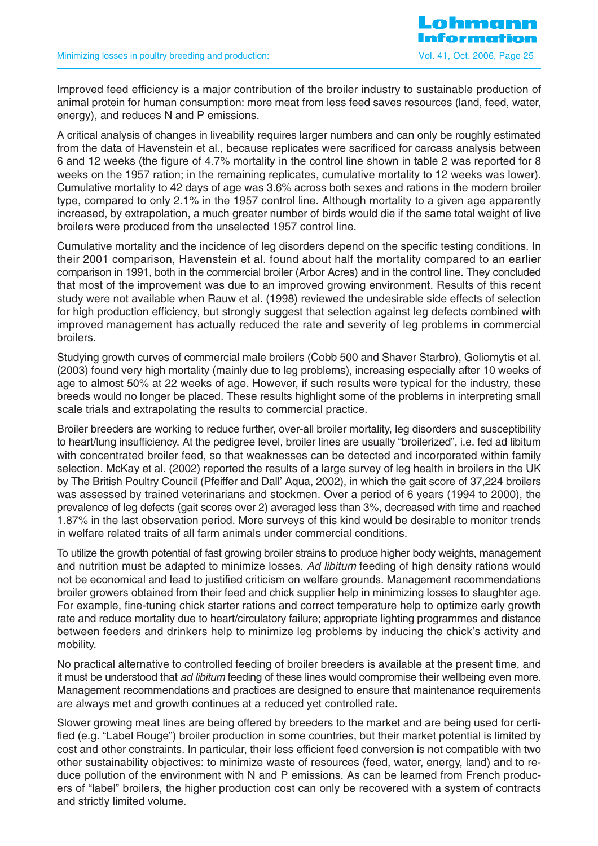

Improved feed efficiency is a major contribution of the broiler industry to sustainable production of animal protein for human consumption: more meat from less feed saves resources (land, feed, water, energy), and reduces N and P emissions.

A critical analysis of changes in liveability requires larger numbers and can only be roughly estimated from the data of Havenstein et al., because replicates were sacrificed for carcass analysis between 6 and 12 weeks (the figure of 4.7% mortality in the control line shown in table 2 was reported for 8 weeks on the 1957 ration; in the remaining replicates, cumulative mortality to 12 weeks was lower). Cumulative mortality to 42 days of age was 3.6% across both sexes and rations in the modern broiler type, compared to only 2.1% in the 1957 control line. Although mortality to a given age apparently increased, by extrapolation, a much greater number of birds would die if the same total weight of live broilers were produced from the unselected 1957 control line.

Cumulative mortality and the incidence of leg disorders depend on the specific testing conditions. In their 2001 comparison, Havenstein et al. found about half the mortality compared to an earlier comparison in 1991, both in the commercial broiler (Arbor Acres) and in the control line. They concluded that most of the improvement was due to an improved growing environment. Results of this recent study were not available when Rauw et al. (1998) reviewed the undesirable side effects of selection for high production efficiency, but strongly suggest that selection against leg defects combined with improved management has actually reduced the rate and severity of leg problems in commercial broilers.

Studying growth curves of commercial male broilers (Cobb 500 and Shaver Starbro), Goliomytis et al. (2003) found very high mortality (mainly due to leg problems), increasing especially after 10 weeks of age to almost 50% at 22 weeks of age. However, if such results were typical for the industry, these breeds would no longer be placed. These results highlight some of the problems in interpreting small scale trials and extrapolating the results to commercial practice.

Broiler breeders are working to reduce further, over-all broiler mortality, leg disorders and susceptibility to heart/lung insufficiency. At the pedigree level, broiler lines are usually "broilerized", i.e. fed ad libitum with concentrated broiler feed, so that weaknesses can be detected and incorporated within family selection. McKay et al. (2002) reported the results of a large survey of leg health in broilers in the UK by The British Poultry Council (Pfeiffer and Dall' Aqua, 2002), in which the gait score of 37,224 broilers was assessed by trained veterinarians and stockmen. Over a period of 6 years (1994 to 2000), the prevalence of leg defects (gait scores over 2) averaged less than 3%, decreased with time and reached 1.87% in the last observation period. More surveys of this kind would be desirable to monitor trends in welfare related traits of all farm animals under commercial conditions.

To utilize the growth potential of fast growing broiler strains to produce higher body weights, management and nutrition must be adapted to minimize losses. Ad libitum feeding of high density rations would not be economical and lead to justified criticism on welfare grounds. Management recommendations broiler growers obtained from their feed and chick supplier help in minimizing losses to slaughter age. For example, fine-tuning chick starter rations and correct temperature help to optimize early growth rate and reduce mortality due to heart/circulatory failure; appropriate lighting programmes and distance between feeders and drinkers help to minimize leg problems by inducing the chick's activity and mobility.

No practical alternative to controlled feeding of broiler breeders is available at the present time, and it must be understood that ad libitum feeding of these lines would compromise their wellbeing even more. Management recommendations and practices are designed to ensure that maintenance requirements are always met and growth continues at a reduced yet controlled rate.

Slower growing meat lines are being offered by breeders to the market and are being used for certified (e.g. "Label Rouge") broiler production in some countries, but their market potential is limited by cost and other constraints. In particular, their less efficient feed conversion is not compatible with two other sustainability objectives: to minimize waste of resources (feed, water, energy, land) and to reduce pollution of the environment with N and P emissions. As can be learned from French producers of "label" broilers, the higher production cost can only be recovered with a system of contracts and strictly limited volume.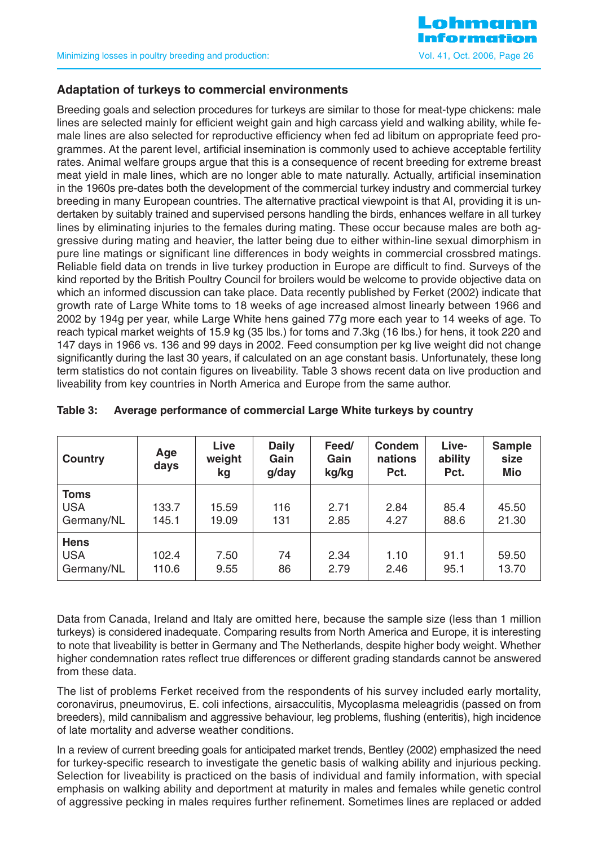

## **Adaptation of turkeys to commercial environments**

Breeding goals and selection procedures for turkeys are similar to those for meat-type chickens: male lines are selected mainly for efficient weight gain and high carcass yield and walking ability, while female lines are also selected for reproductive efficiency when fed ad libitum on appropriate feed programmes. At the parent level, artificial insemination is commonly used to achieve acceptable fertility rates. Animal welfare groups argue that this is a consequence of recent breeding for extreme breast meat yield in male lines, which are no longer able to mate naturally. Actually, artificial insemination in the 1960s pre-dates both the development of the commercial turkey industry and commercial turkey breeding in many European countries. The alternative practical viewpoint is that AI, providing it is undertaken by suitably trained and supervised persons handling the birds, enhances welfare in all turkey lines by eliminating injuries to the females during mating. These occur because males are both aggressive during mating and heavier, the latter being due to either within-line sexual dimorphism in pure line matings or significant line differences in body weights in commercial crossbred matings. Reliable field data on trends in live turkey production in Europe are difficult to find. Surveys of the kind reported by the British Poultry Council for broilers would be welcome to provide objective data on which an informed discussion can take place. Data recently published by Ferket (2002) indicate that growth rate of Large White toms to 18 weeks of age increased almost linearly between 1966 and 2002 by 194g per year, while Large White hens gained 77g more each year to 14 weeks of age. To reach typical market weights of 15.9 kg (35 lbs.) for toms and 7.3kg (16 lbs.) for hens, it took 220 and 147 days in 1966 vs. 136 and 99 days in 2002. Feed consumption per kg live weight did not change significantly during the last 30 years, if calculated on an age constant basis. Unfortunately, these long term statistics do not contain figures on liveability. Table 3 shows recent data on live production and liveability from key countries in North America and Europe from the same author.

| <b>Country</b>                          | Age<br>days    | Live<br>weight<br>kg | <b>Daily</b><br>Gain<br>g/day | Feed/<br>Gain<br>kg/kg | Condem<br>nations<br>Pct. | Live-<br>ability<br>Pct. | <b>Sample</b><br>size<br>Mio |
|-----------------------------------------|----------------|----------------------|-------------------------------|------------------------|---------------------------|--------------------------|------------------------------|
| <b>Toms</b><br><b>USA</b><br>Germany/NL | 133.7<br>145.1 | 15.59<br>19.09       | 116<br>131                    | 2.71<br>2.85           | 2.84<br>4.27              | 85.4<br>88.6             | 45.50<br>21.30               |
| <b>Hens</b><br><b>USA</b><br>Germany/NL | 102.4<br>110.6 | 7.50<br>9.55         | 74<br>86                      | 2.34<br>2.79           | 1.10<br>2.46              | 91.1<br>95.1             | 59.50<br>13.70               |

#### **Table 3: Average performance of commercial Large White turkeys by country**

Data from Canada, Ireland and Italy are omitted here, because the sample size (less than 1 million turkeys) is considered inadequate. Comparing results from North America and Europe, it is interesting to note that liveability is better in Germany and The Netherlands, despite higher body weight. Whether higher condemnation rates reflect true differences or different grading standards cannot be answered from these data.

The list of problems Ferket received from the respondents of his survey included early mortality, coronavirus, pneumovirus, E. coli infections, airsacculitis, Mycoplasma meleagridis (passed on from breeders), mild cannibalism and aggressive behaviour, leg problems, flushing (enteritis), high incidence of late mortality and adverse weather conditions.

In a review of current breeding goals for anticipated market trends, Bentley (2002) emphasized the need for turkey-specific research to investigate the genetic basis of walking ability and injurious pecking. Selection for liveability is practiced on the basis of individual and family information, with special emphasis on walking ability and deportment at maturity in males and females while genetic control of aggressive pecking in males requires further refinement. Sometimes lines are replaced or added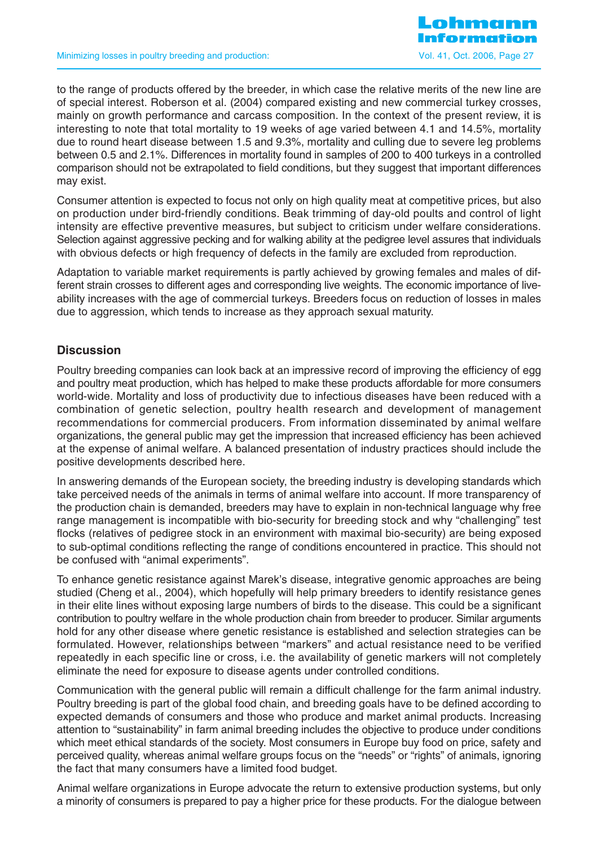to the range of products offered by the breeder, in which case the relative merits of the new line are of special interest. Roberson et al. (2004) compared existing and new commercial turkey crosses, mainly on growth performance and carcass composition. In the context of the present review, it is interesting to note that total mortality to 19 weeks of age varied between 4.1 and 14.5%, mortality due to round heart disease between 1.5 and 9.3%, mortality and culling due to severe leg problems between 0.5 and 2.1%. Differences in mortality found in samples of 200 to 400 turkeys in a controlled comparison should not be extrapolated to field conditions, but they suggest that important differences may exist.

Consumer attention is expected to focus not only on high quality meat at competitive prices, but also on production under bird-friendly conditions. Beak trimming of day-old poults and control of light intensity are effective preventive measures, but subject to criticism under welfare considerations. Selection against aggressive pecking and for walking ability at the pedigree level assures that individuals with obvious defects or high frequency of defects in the family are excluded from reproduction.

Adaptation to variable market requirements is partly achieved by growing females and males of different strain crosses to different ages and corresponding live weights. The economic importance of liveability increases with the age of commercial turkeys. Breeders focus on reduction of losses in males due to aggression, which tends to increase as they approach sexual maturity.

## **Discussion**

Poultry breeding companies can look back at an impressive record of improving the efficiency of egg and poultry meat production, which has helped to make these products affordable for more consumers world-wide. Mortality and loss of productivity due to infectious diseases have been reduced with a combination of genetic selection, poultry health research and development of management recommendations for commercial producers. From information disseminated by animal welfare organizations, the general public may get the impression that increased efficiency has been achieved at the expense of animal welfare. A balanced presentation of industry practices should include the positive developments described here.

In answering demands of the European society, the breeding industry is developing standards which take perceived needs of the animals in terms of animal welfare into account. If more transparency of the production chain is demanded, breeders may have to explain in non-technical language why free range management is incompatible with bio-security for breeding stock and why "challenging" test flocks (relatives of pedigree stock in an environment with maximal bio-security) are being exposed to sub-optimal conditions reflecting the range of conditions encountered in practice. This should not be confused with "animal experiments".

To enhance genetic resistance against Marek's disease, integrative genomic approaches are being studied (Cheng et al., 2004), which hopefully will help primary breeders to identify resistance genes in their elite lines without exposing large numbers of birds to the disease. This could be a significant contribution to poultry welfare in the whole production chain from breeder to producer. Similar arguments hold for any other disease where genetic resistance is established and selection strategies can be formulated. However, relationships between "markers" and actual resistance need to be verified repeatedly in each specific line or cross, i.e. the availability of genetic markers will not completely eliminate the need for exposure to disease agents under controlled conditions.

Communication with the general public will remain a difficult challenge for the farm animal industry. Poultry breeding is part of the global food chain, and breeding goals have to be defined according to expected demands of consumers and those who produce and market animal products. Increasing attention to "sustainability" in farm animal breeding includes the objective to produce under conditions which meet ethical standards of the society. Most consumers in Europe buy food on price, safety and perceived quality, whereas animal welfare groups focus on the "needs" or "rights" of animals, ignoring the fact that many consumers have a limited food budget.

Animal welfare organizations in Europe advocate the return to extensive production systems, but only a minority of consumers is prepared to pay a higher price for these products. For the dialogue between